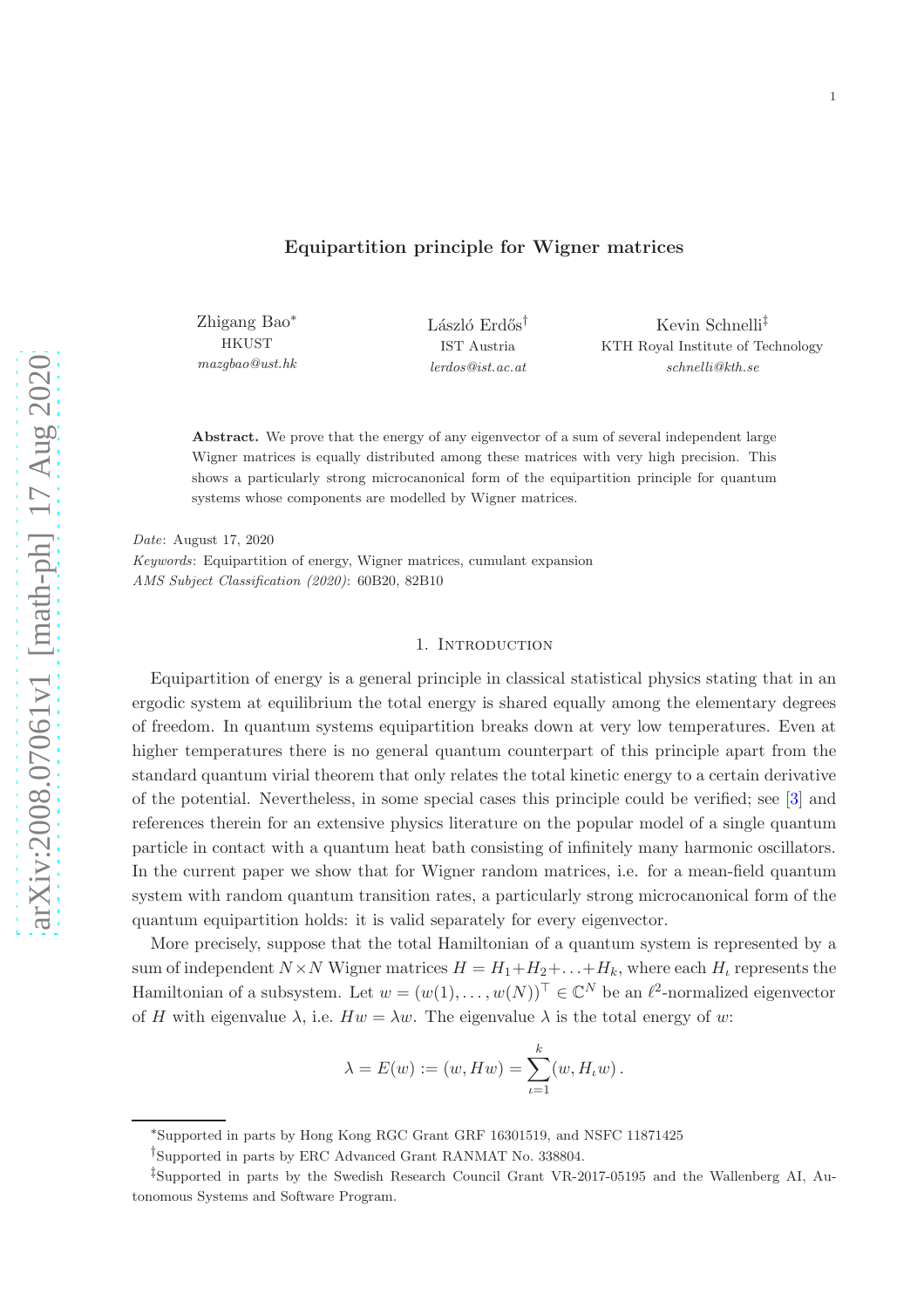Zhigang Bao∗ **HKUST** *mazgbao@ust.hk* László Erdős<sup>†</sup> IST Austria *lerdos@ist.ac.at*

Kevin Schnelli‡ KTH Royal Institute of Technology *schnelli@kth.se*

Abstract. We prove that the energy of any eigenvector of a sum of several independent large Wigner matrices is equally distributed among these matrices with very high precision. This shows a particularly strong microcanonical form of the equipartition principle for quantum systems whose components are modelled by Wigner matrices.

*Date*: August 17, 2020 *Keywords*: Equipartition of energy, Wigner matrices, cumulant expansion *AMS Subject Classification (2020)*: 60B20, 82B10

### 1. INTRODUCTION

Equipartition of energy is a general principle in classical statistical physics stating that in an ergodic system at equilibrium the total energy is shared equally among the elementary degrees of freedom. In quantum systems equipartition breaks down at very low temperatures. Even at higher temperatures there is no general quantum counterpart of this principle apart from the standard quantum virial theorem that only relates the total kinetic energy to a certain derivative of the potential. Nevertheless, in some special cases this principle could be verified; see [\[3](#page-18-0)] and references therein for an extensive physics literature on the popular model of a single quantum particle in contact with a quantum heat bath consisting of infinitely many harmonic oscillators. In the current paper we show that for Wigner random matrices, i.e. for a mean-field quantum system with random quantum transition rates, a particularly strong microcanonical form of the quantum equipartition holds: it is valid separately for every eigenvector.

More precisely, suppose that the total Hamiltonian of a quantum system is represented by a sum of independent  $N \times N$  Wigner matrices  $H = H_1 + H_2 + \ldots + H_k$ , where each  $H_i$  represents the Hamiltonian of a subsystem. Let  $w = (w(1), \dots, w(N))^\top \in \mathbb{C}^N$  be an  $\ell^2$ -normalized eigenvector of H with eigenvalue  $\lambda$ , i.e.  $Hw = \lambda w$ . The eigenvalue  $\lambda$  is the total energy of w:

$$
\lambda = E(w) := (w, Hw) = \sum_{\iota=1}^{k} (w, H_{\iota}w).
$$

<sup>∗</sup>Supported in parts by Hong Kong RGC Grant GRF 16301519, and NSFC 11871425

<sup>†</sup>Supported in parts by ERC Advanced Grant RANMAT No. 338804.

<sup>‡</sup>Supported in parts by the Swedish Research Council Grant VR-2017-05195 and the Wallenberg AI, Autonomous Systems and Software Program.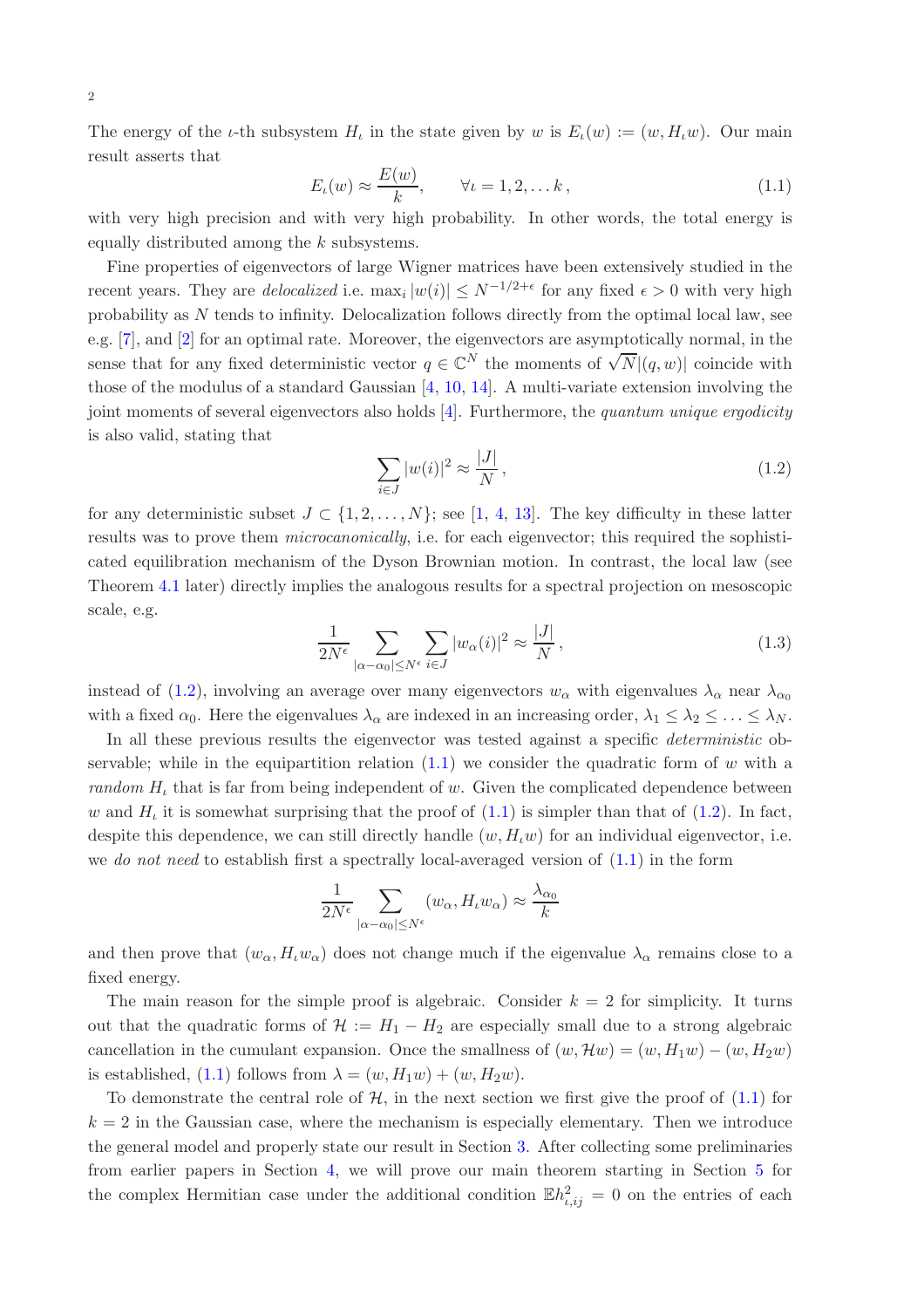The energy of the *ι*-th subsystem  $H_t$  in the state given by w is  $E_t(w) := (w, H_t w)$ . Our main result asserts that

<span id="page-1-1"></span>
$$
E_{\iota}(w) \approx \frac{E(w)}{k}, \qquad \forall \iota = 1, 2, \dots k,
$$
\n(1.1)

with very high precision and with very high probability. In other words, the total energy is equally distributed among the k subsystems.

Fine properties of eigenvectors of large Wigner matrices have been extensively studied in the recent years. They are *delocalized* i.e.  $\max_i |w(i)| \leq N^{-1/2+\epsilon}$  for any fixed  $\epsilon > 0$  with very high probability as N tends to infinity. Delocalization follows directly from the optimal local law, see e.g. [\[7](#page-18-1)], and [\[2\]](#page-18-2) for an optimal rate. Moreover, the eigenvectors are asymptotically normal, in the sense that for any fixed deterministic vector  $q \in \mathbb{C}^N$  the moments of  $\sqrt{N} |(q, w)|$  coincide with those of the modulus of a standard Gaussian [\[4,](#page-18-3) [10](#page-18-4), [14](#page-18-5)]. A multi-variate extension involving the joint moments of several eigenvectors also holds  $[4]$ . Furthermore, the quantum unique ergodicity is also valid, stating that

<span id="page-1-0"></span>
$$
\sum_{i \in J} |w(i)|^2 \approx \frac{|J|}{N},\tag{1.2}
$$

for any deterministic subset  $J \subset \{1, 2, ..., N\}$ ; see [\[1,](#page-18-6) [4](#page-18-3), [13](#page-18-7)]. The key difficulty in these latter results was to prove them microcanonically, i.e. for each eigenvector; this required the sophisticated equilibration mechanism of the Dyson Brownian motion. In contrast, the local law (see Theorem [4.1](#page-5-0) later) directly implies the analogous results for a spectral projection on mesoscopic scale, e.g.

$$
\frac{1}{2N^{\epsilon}} \sum_{|\alpha - \alpha_0| \le N^{\epsilon}} \sum_{i \in J} |w_{\alpha}(i)|^2 \approx \frac{|J|}{N},\tag{1.3}
$$

instead of [\(1.2\)](#page-1-0), involving an average over many eigenvectors  $w_\alpha$  with eigenvalues  $\lambda_\alpha$  near  $\lambda_{\alpha_0}$ with a fixed  $\alpha_0$ . Here the eigenvalues  $\lambda_\alpha$  are indexed in an increasing order,  $\lambda_1 \leq \lambda_2 \leq \ldots \leq \lambda_N$ .

In all these previous results the eigenvector was tested against a specific *deterministic* observable; while in the equipartition relation  $(1.1)$  we consider the quadratic form of w with a random  $H_t$  that is far from being independent of w. Given the complicated dependence between w and  $H_t$  it is somewhat surprising that the proof of  $(1.1)$  is simpler than that of  $(1.2)$ . In fact, despite this dependence, we can still directly handle  $(w, H<sub>u</sub>w)$  for an individual eigenvector, i.e. we do not need to establish first a spectrally local-averaged version of  $(1.1)$  in the form

$$
\frac{1}{2N^{\epsilon}} \sum_{|\alpha - \alpha_0| \le N^{\epsilon}} (w_{\alpha}, H_t w_{\alpha}) \approx \frac{\lambda_{\alpha_0}}{k}
$$

and then prove that  $(w_\alpha, H_t w_\alpha)$  does not change much if the eigenvalue  $\lambda_\alpha$  remains close to a fixed energy.

The main reason for the simple proof is algebraic. Consider  $k = 2$  for simplicity. It turns out that the quadratic forms of  $\mathcal{H} := H_1 - H_2$  are especially small due to a strong algebraic cancellation in the cumulant expansion. Once the smallness of  $(w, \mathcal{H}w) = (w, H_1w) - (w, H_2w)$ is established, [\(1.1\)](#page-1-1) follows from  $\lambda = (w, H_1w) + (w, H_2w)$ .

To demonstrate the central role of  $H$ , in the next section we first give the proof of  $(1.1)$  for  $k = 2$  in the Gaussian case, where the mechanism is especially elementary. Then we introduce the general model and properly state our result in Section [3.](#page-3-0) After collecting some preliminaries from earlier papers in Section [4,](#page-4-0) we will prove our main theorem starting in Section [5](#page-6-0) for the complex Hermitian case under the additional condition  $\mathbb{E}h_{i,ij}^2 = 0$  on the entries of each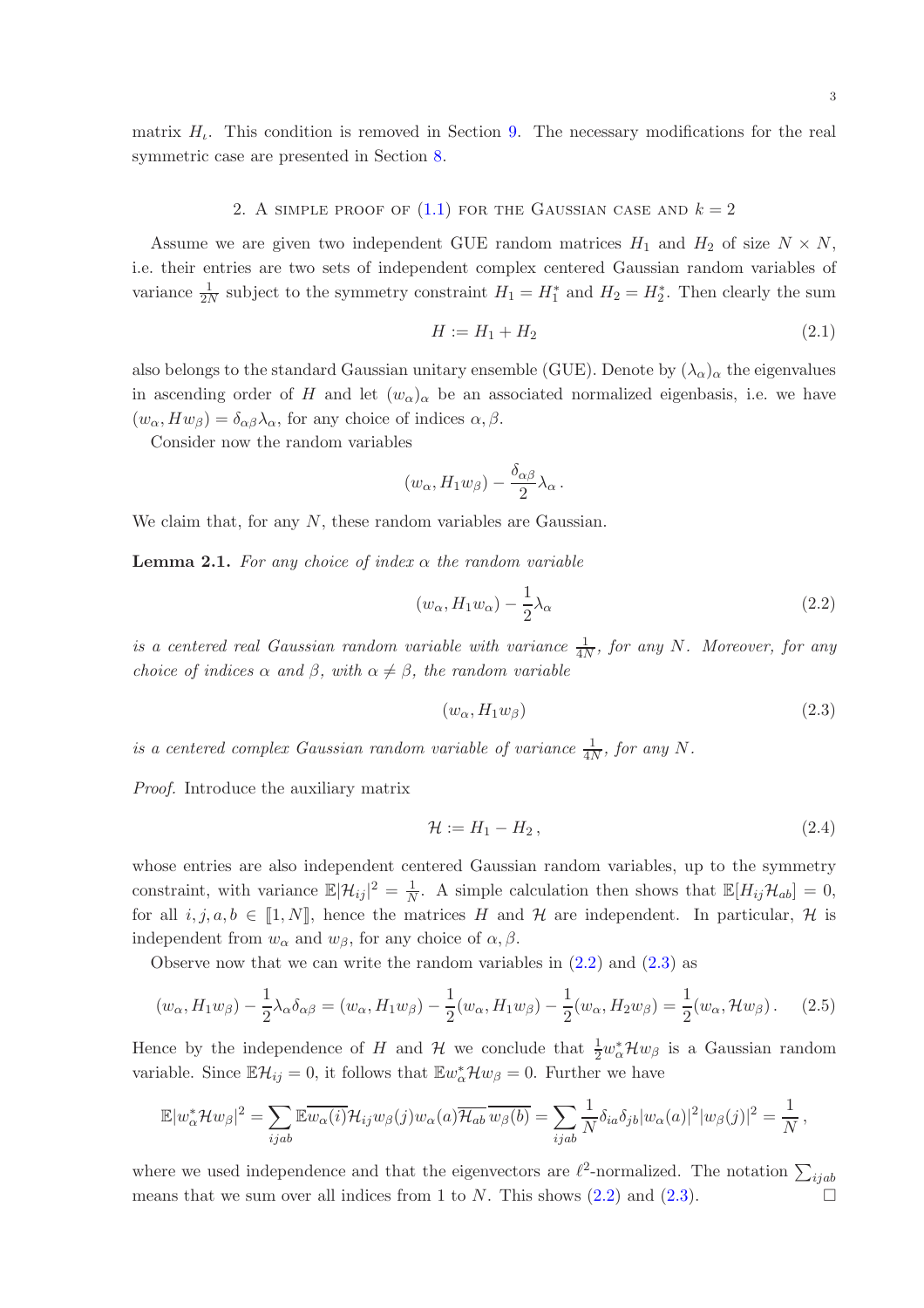matrix  $H_i$ . This condition is removed in Section [9.](#page-16-0) The necessary modifications for the real symmetric case are presented in Section [8.](#page-14-0)

## 2. A SIMPLE PROOF OF  $(1.1)$  for the Gaussian case and  $k = 2$

Assume we are given two independent GUE random matrices  $H_1$  and  $H_2$  of size  $N \times N$ , i.e. their entries are two sets of independent complex centered Gaussian random variables of variance  $\frac{1}{2N}$  subject to the symmetry constraint  $H_1 = H_1^*$  and  $H_2 = H_2^*$ . Then clearly the sum

$$
H := H_1 + H_2 \tag{2.1}
$$

also belongs to the standard Gaussian unitary ensemble (GUE). Denote by  $(\lambda_{\alpha})_{\alpha}$  the eigenvalues in ascending order of H and let  $(w_\alpha)_\alpha$  be an associated normalized eigenbasis, i.e. we have  $(w_{\alpha}, Hw_{\beta}) = \delta_{\alpha\beta}\lambda_{\alpha}$ , for any choice of indices  $\alpha, \beta$ .

Consider now the random variables

$$
(w_{\alpha}, H_1 w_{\beta}) - \frac{\delta_{\alpha\beta}}{2} \lambda_{\alpha}.
$$

We claim that, for any N, these random variables are Gaussian.

**Lemma 2.1.** For any choice of index  $\alpha$  the random variable

$$
(w_{\alpha}, H_1 w_{\alpha}) - \frac{1}{2}\lambda_{\alpha} \tag{2.2}
$$

is a centered real Gaussian random variable with variance  $\frac{1}{4N}$ , for any N. Moreover, for any choice of indices  $\alpha$  and  $\beta$ , with  $\alpha \neq \beta$ , the random variable

<span id="page-2-2"></span><span id="page-2-1"></span><span id="page-2-0"></span>
$$
(w_{\alpha}, H_1 w_{\beta}) \tag{2.3}
$$

is a centered complex Gaussian random variable of variance  $\frac{1}{4N}$ , for any N.

Proof. Introduce the auxiliary matrix

<span id="page-2-3"></span>
$$
\mathcal{H} := H_1 - H_2, \tag{2.4}
$$

whose entries are also independent centered Gaussian random variables, up to the symmetry constraint, with variance  $\mathbb{E}|\mathcal{H}_{ij}|^2 = \frac{1}{N}$  $\frac{1}{N}$ . A simple calculation then shows that  $\mathbb{E}[H_{ij}\mathcal{H}_{ab}] = 0$ , for all  $i, j, a, b \in [1, N]$ , hence the matrices H and H are independent. In particular, H is independent from  $w_{\alpha}$  and  $w_{\beta}$ , for any choice of  $\alpha, \beta$ .

Observe now that we can write the random variables in  $(2.2)$  and  $(2.3)$  as

$$
(w_{\alpha}, H_1 w_{\beta}) - \frac{1}{2} \lambda_{\alpha} \delta_{\alpha \beta} = (w_{\alpha}, H_1 w_{\beta}) - \frac{1}{2} (w_{\alpha}, H_1 w_{\beta}) - \frac{1}{2} (w_{\alpha}, H_2 w_{\beta}) = \frac{1}{2} (w_{\alpha}, \mathcal{H} w_{\beta}).
$$
 (2.5)

Hence by the independence of H and  $\mathcal H$  we conclude that  $\frac{1}{2}w_{\alpha}^*\mathcal H w_{\beta}$  is a Gaussian random variable. Since  $\mathbb{E}\mathcal{H}_{ij} = 0$ , it follows that  $\mathbb{E}w_{\alpha}^*\mathcal{H}w_{\beta} = 0$ . Further we have

$$
\mathbb{E}|w_{\alpha}^*\mathcal{H}w_{\beta}|^2 = \sum_{ijab}\mathbb{E}\overline{w_{\alpha}(i)}\mathcal{H}_{ij}w_{\beta}(j)w_{\alpha}(a)\overline{\mathcal{H}_{ab}}\,\overline{w_{\beta}(b)} = \sum_{ijab}\frac{1}{N}\delta_{ia}\delta_{jb}|w_{\alpha}(a)|^2|w_{\beta}(j)|^2 = \frac{1}{N},
$$

where we used independence and that the eigenvectors are  $\ell^2$ -normalized. The notation  $\sum_{ijab}$ means that we sum over all indices from 1 to  $N$ . This shows  $(2.2)$  and  $(2.3)$ .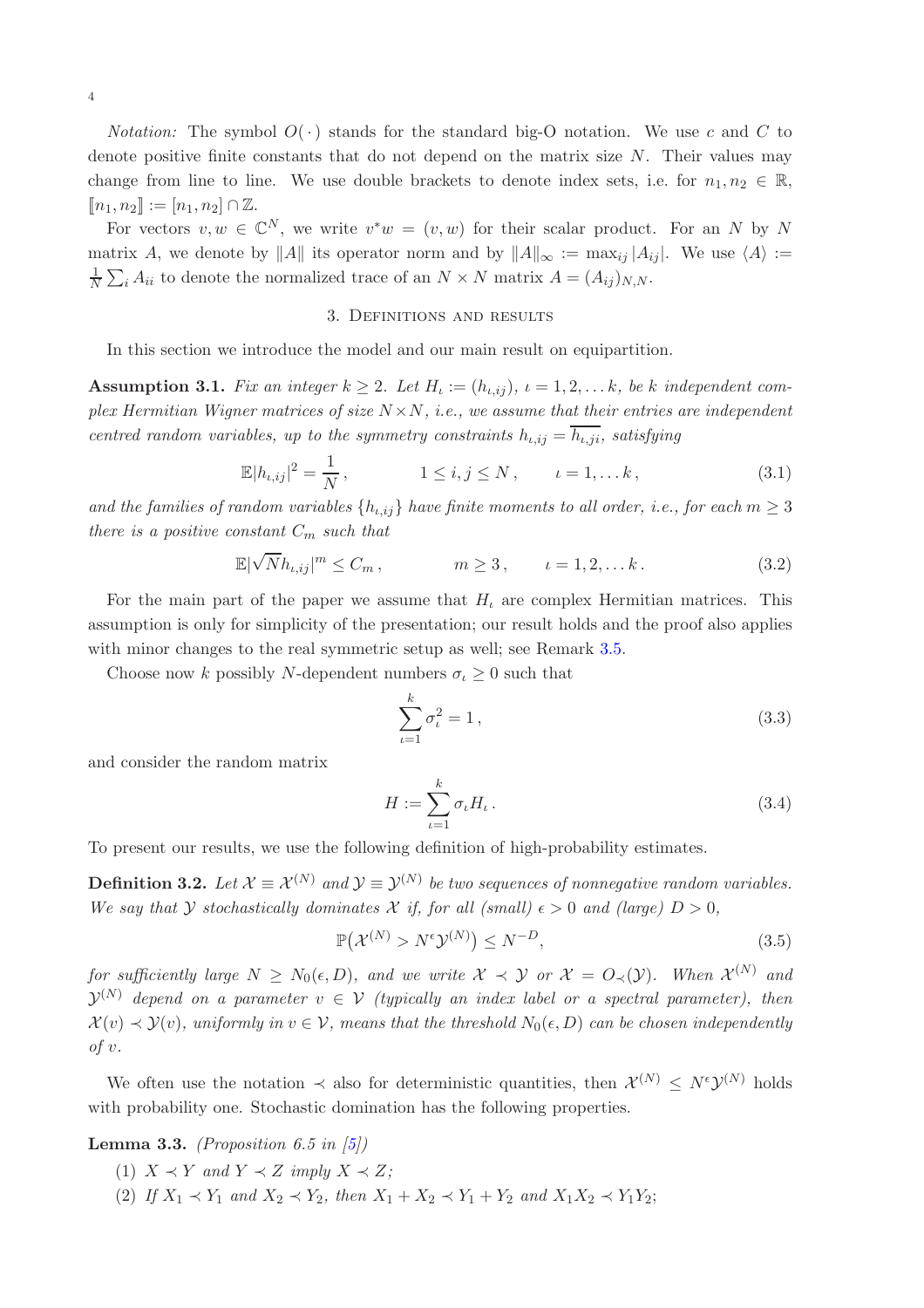For vectors  $v, w \in \mathbb{C}^N$ , we write  $v^*w = (v, w)$  for their scalar product. For an N by N matrix A, we denote by ||A|| its operator norm and by  $||A||_{\infty} := \max_{i} |A_{ii}|$ . We use  $\langle A \rangle :=$ 1  $\frac{1}{N} \sum_i A_{ii}$  to denote the normalized trace of an  $N \times N$  matrix  $A = (A_{ij})_{N,N}$ .

# 3. Definitions and results

<span id="page-3-0"></span>In this section we introduce the model and our main result on equipartition.

<span id="page-3-2"></span>**Assumption 3.1.** Fix an integer  $k \geq 2$ . Let  $H_i := (h_{i,ij})$ ,  $i = 1, 2, \ldots k$ , be k independent complex Hermitian Wigner matrices of size  $N \times N$ , i.e., we assume that their entries are independent centred random variables, up to the symmetry constraints  $h_{i,i} = \overline{h_{i,ji}}$ , satisfying

$$
\mathbb{E}|h_{\iota,ij}|^2 = \frac{1}{N}, \qquad 1 \le i,j \le N, \qquad \iota = 1,\dots k,
$$
\n(3.1)

and the families of random variables  $\{h_{i,i}\}\$  have finite moments to all order, i.e., for each  $m\geq 3$ there is a positive constant  $C_m$  such that

$$
\mathbb{E}|\sqrt{N}h_{\iota,ij}|^m \leq C_m, \qquad m \geq 3, \qquad \iota = 1, 2, \dots k. \tag{3.2}
$$

For the main part of the paper we assume that  $H<sub>t</sub>$  are complex Hermitian matrices. This assumption is only for simplicity of the presentation; our result holds and the proof also applies with minor changes to the real symmetric setup as well; see Remark [3.5.](#page-4-1)

Choose now k possibly N-dependent numbers  $\sigma_{\iota} \geq 0$  such that

<span id="page-3-4"></span><span id="page-3-3"></span><span id="page-3-1"></span>
$$
\sum_{\iota=1}^{k} \sigma_{\iota}^{2} = 1, \tag{3.3}
$$

and consider the random matrix

$$
H := \sum_{\iota=1}^{k} \sigma_{\iota} H_{\iota} . \tag{3.4}
$$

To present our results, we use the following definition of high-probability estimates.

**Definition 3.2.** Let  $\mathcal{X} \equiv \mathcal{X}^{(N)}$  and  $\mathcal{Y} \equiv \mathcal{Y}^{(N)}$  be two sequences of nonnegative random variables. We say that Y stochastically dominates X if, for all (small)  $\epsilon > 0$  and (large)  $D > 0$ ,

$$
\mathbb{P}(\mathcal{X}^{(N)} > N^{\epsilon} \mathcal{Y}^{(N)}) \le N^{-D},\tag{3.5}
$$

for sufficiently large  $N \ge N_0(\epsilon, D)$ , and we write  $\mathcal{X} \prec \mathcal{Y}$  or  $\mathcal{X} = O_{\prec}(\mathcal{Y})$ . When  $\mathcal{X}^{(N)}$  and  $\mathcal{Y}^{(N)}$  depend on a parameter  $v \in \mathcal{V}$  (typically an index label or a spectral parameter), then  $\mathcal{X}(v) \prec \mathcal{Y}(v)$ , uniformly in  $v \in \mathcal{V}$ , means that the threshold  $N_0(\epsilon, D)$  can be chosen independently  $of v.$ 

We often use the notation  $\prec$  also for deterministic quantities, then  $\mathcal{X}^{(N)} \leq N^{\epsilon} \mathcal{Y}^{(N)}$  holds with probability one. Stochastic domination has the following properties.

<span id="page-3-5"></span>Lemma 3.3. (Proposition 6.5 in  $[5]$ )

- (1)  $X \prec Y$  and  $Y \prec Z$  imply  $X \prec Z$ ;
- (2) If  $X_1 \prec Y_1$  and  $X_2 \prec Y_2$ , then  $X_1 + X_2 \prec Y_1 + Y_2$  and  $X_1 X_2 \prec Y_1 Y_2$ ;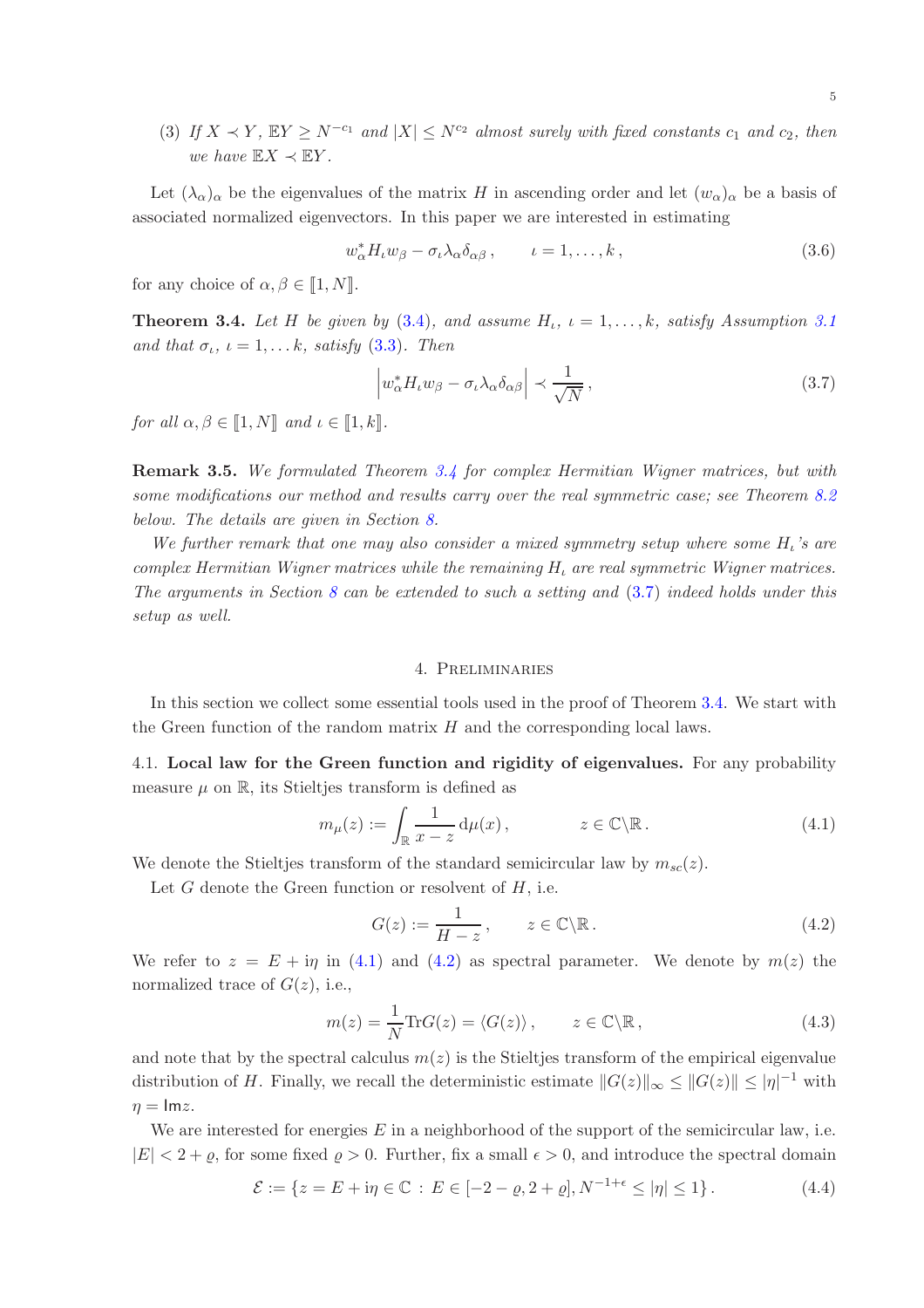(3) If  $X \prec Y$ ,  $EY \ge N^{-c_1}$  and  $|X| \le N^{c_2}$  almost surely with fixed constants  $c_1$  and  $c_2$ , then we have  $\mathbb{E} X \prec \mathbb{E} Y$ .

Let  $(\lambda_{\alpha})_{\alpha}$  be the eigenvalues of the matrix H in ascending order and let  $(w_{\alpha})_{\alpha}$  be a basis of associated normalized eigenvectors. In this paper we are interested in estimating

$$
w_{\alpha}^* H_{\iota} w_{\beta} - \sigma_{\iota} \lambda_{\alpha} \delta_{\alpha \beta} , \qquad \iota = 1, \dots, k , \qquad (3.6)
$$

for any choice of  $\alpha, \beta \in [1, N]$ .

<span id="page-4-2"></span>**Theorem 3.4.** Let H be given by  $(3.4)$ , and assume  $H_{\iota}$ ,  $\iota = 1, \ldots, k$ , satisfy Assumption [3.1](#page-3-2) and that  $\sigma_{\iota}, \iota = 1, \ldots k$ , satisfy [\(3.3\)](#page-3-3). Then

<span id="page-4-3"></span>
$$
\left| w_{\alpha}^* H_t w_{\beta} - \sigma_t \lambda_{\alpha} \delta_{\alpha \beta} \right| \prec \frac{1}{\sqrt{N}}, \qquad (3.7)
$$

for all  $\alpha, \beta \in \llbracket 1, N \rrbracket$  and  $\iota \in \llbracket 1, k \rrbracket$ .

<span id="page-4-1"></span>**Remark 3.5.** We formulated Theorem [3.4](#page-4-2) for complex Hermitian Wigner matrices, but with some modifications our method and results carry over the real symmetric case; see Theorem [8.2](#page-15-0) below. The details are given in Section [8.](#page-14-0)

We further remark that one may also consider a mixed symmetry setup where some  $H_i$ 's are complex Hermitian Wigner matrices while the remaining  $H_t$  are real symmetric Wigner matrices. The arguments in Section [8](#page-14-0) can be extended to such a setting and  $(3.7)$  indeed holds under this setup as well.

# <span id="page-4-4"></span>4. Preliminaries

<span id="page-4-0"></span>In this section we collect some essential tools used in the proof of Theorem [3.4.](#page-4-2) We start with the Green function of the random matrix  $H$  and the corresponding local laws.

4.1. Local law for the Green function and rigidity of eigenvalues. For any probability measure  $\mu$  on  $\mathbb{R}$ , its Stieltjes transform is defined as

$$
m_{\mu}(z) := \int_{\mathbb{R}} \frac{1}{x - z} \, \mathrm{d}\mu(x) \,, \qquad z \in \mathbb{C} \backslash \mathbb{R} \,. \tag{4.1}
$$

We denote the Stieltjes transform of the standard semicircular law by  $m_{sc}(z)$ .

Let  $G$  denote the Green function or resolvent of  $H$ , i.e.

<span id="page-4-6"></span><span id="page-4-5"></span>
$$
G(z) := \frac{1}{H - z}, \qquad z \in \mathbb{C} \backslash \mathbb{R} \,. \tag{4.2}
$$

We refer to  $z = E + i\eta$  in [\(4.1\)](#page-4-4) and [\(4.2\)](#page-4-5) as spectral parameter. We denote by  $m(z)$  the normalized trace of  $G(z)$ , i.e.,

$$
m(z) = \frac{1}{N} \text{Tr} G(z) = \langle G(z) \rangle, \qquad z \in \mathbb{C} \backslash \mathbb{R}, \tag{4.3}
$$

and note that by the spectral calculus  $m(z)$  is the Stieltjes transform of the empirical eigenvalue distribution of H. Finally, we recall the deterministic estimate  $||G(z)||_{\infty} \le ||G(z)|| \le |\eta|^{-1}$  with  $\eta = \text{Im}z.$ 

We are interested for energies  $E$  in a neighborhood of the support of the semicircular law, i.e.  $|E| < 2 + \varrho$ , for some fixed  $\varrho > 0$ . Further, fix a small  $\epsilon > 0$ , and introduce the spectral domain

$$
\mathcal{E} := \{ z = E + i\eta \in \mathbb{C} : E \in [-2 - \varrho, 2 + \varrho], N^{-1 + \epsilon} \le |\eta| \le 1 \}.
$$
 (4.4)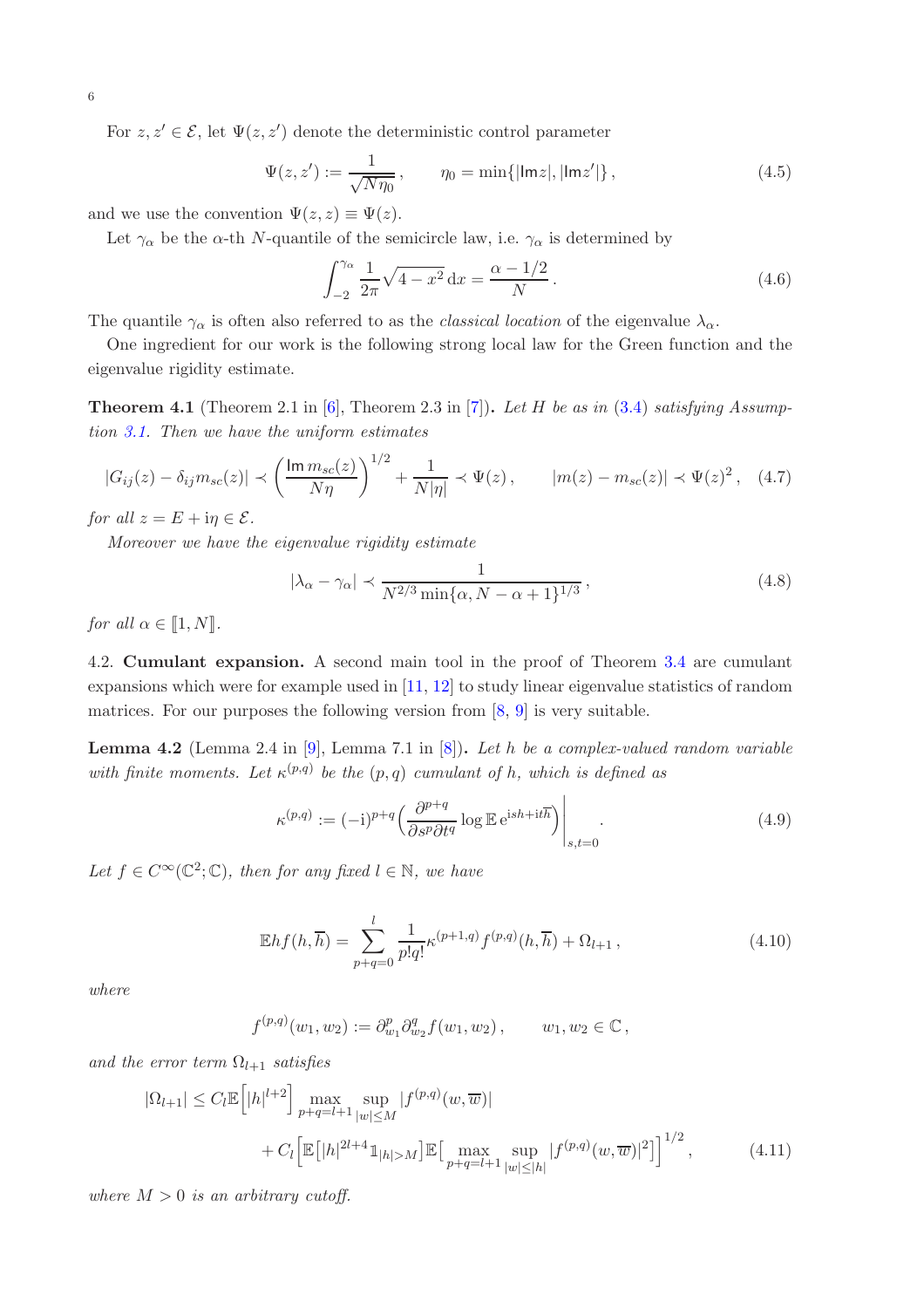For  $z, z' \in \mathcal{E}$ , let  $\Psi(z, z')$  denote the deterministic control parameter

$$
\Psi(z, z') := \frac{1}{\sqrt{N\eta_0}}, \qquad \eta_0 = \min\{|\text{Im}z|, |\text{Im}z'|\},
$$
\n(4.5)

and we use the convention  $\Psi(z, z) \equiv \Psi(z)$ .

Let  $\gamma_{\alpha}$  be the  $\alpha$ -th N-quantile of the semicircle law, i.e.  $\gamma_{\alpha}$  is determined by

<span id="page-5-5"></span><span id="page-5-4"></span>
$$
\int_{-2}^{\gamma_{\alpha}} \frac{1}{2\pi} \sqrt{4 - x^2} \, dx = \frac{\alpha - 1/2}{N} \,. \tag{4.6}
$$

The quantile  $\gamma_\alpha$  is often also referred to as the *classical location* of the eigenvalue  $\lambda_\alpha$ .

One ingredient for our work is the following strong local law for the Green function and the eigenvalue rigidity estimate.

<span id="page-5-0"></span>**Theorem 4.1** (Theorem 2.1 in  $[6]$ , Theorem 2.3 in [\[7](#page-18-1)]). Let H be as in [\(3.4\)](#page-3-1) satisfying Assumption [3.1.](#page-3-2) Then we have the uniform estimates

$$
|G_{ij}(z) - \delta_{ij} m_{sc}(z)| \prec \left(\frac{\text{Im } m_{sc}(z)}{N\eta}\right)^{1/2} + \frac{1}{N|\eta|} \prec \Psi(z), \qquad |m(z) - m_{sc}(z)| \prec \Psi(z)^2, \quad (4.7)
$$

for all  $z = E + i\eta \in \mathcal{E}$ .

Moreover we have the eigenvalue rigidity estimate

<span id="page-5-3"></span>
$$
|\lambda_{\alpha} - \gamma_{\alpha}| \prec \frac{1}{N^{2/3} \min\{\alpha, N - \alpha + 1\}^{1/3}},\tag{4.8}
$$

for all  $\alpha \in [1, N]$ .

4.2. Cumulant expansion. A second main tool in the proof of Theorem [3.4](#page-4-2) are cumulant expansions which were for example used in [\[11,](#page-18-10) [12](#page-18-11)] to study linear eigenvalue statistics of random matrices. For our purposes the following version from [\[8](#page-18-12), [9](#page-18-13)] is very suitable.

<span id="page-5-1"></span>**Lemma 4.2** (Lemma 2.4 in [\[9\]](#page-18-13), Lemma 7.1 in [\[8](#page-18-12)]). Let h be a complex-valued random variable with finite moments. Let  $\kappa^{(p,q)}$  be the  $(p,q)$  cumulant of h, which is defined as

<span id="page-5-2"></span>
$$
\kappa^{(p,q)} := (-i)^{p+q} \left( \frac{\partial^{p+q}}{\partial s^p \partial t^q} \log \mathbb{E} \, \mathrm{e}^{\mathrm{i} s h + \mathrm{i} t \overline{h}} \right) \Big|_{s,t=0}.
$$
\n(4.9)

Let  $f \in C^{\infty}(\mathbb{C}^2;\mathbb{C})$ , then for any fixed  $l \in \mathbb{N}$ , we have

$$
\mathbb{E}hf(h,\overline{h}) = \sum_{p+q=0}^{l} \frac{1}{p!q!} \kappa^{(p+1,q)} f^{(p,q)}(h,\overline{h}) + \Omega_{l+1},
$$
\n(4.10)

where

<span id="page-5-6"></span>
$$
f^{(p,q)}(w_1, w_2) := \partial_{w_1}^p \partial_{w_2}^q f(w_1, w_2), \qquad w_1, w_2 \in \mathbb{C},
$$

and the error term  $\Omega_{l+1}$  satisfies

$$
|\Omega_{l+1}| \le C_l \mathbb{E} \Big[ |h|^{l+2} \Big] \max_{p+q=l+1} \sup_{|w| \le M} |f^{(p,q)}(w,\overline{w})|
$$
  
+  $C_l \Big[ \mathbb{E} \big[ |h|^{2l+4} \mathbb{1}_{|h| > M} \big] \mathbb{E} \big[ \max_{p+q=l+1} \sup_{|w| \le |h|} |f^{(p,q)}(w,\overline{w})|^2 \big] \Big]^{1/2},$  (4.11)

where  $M > 0$  is an arbitrary cutoff.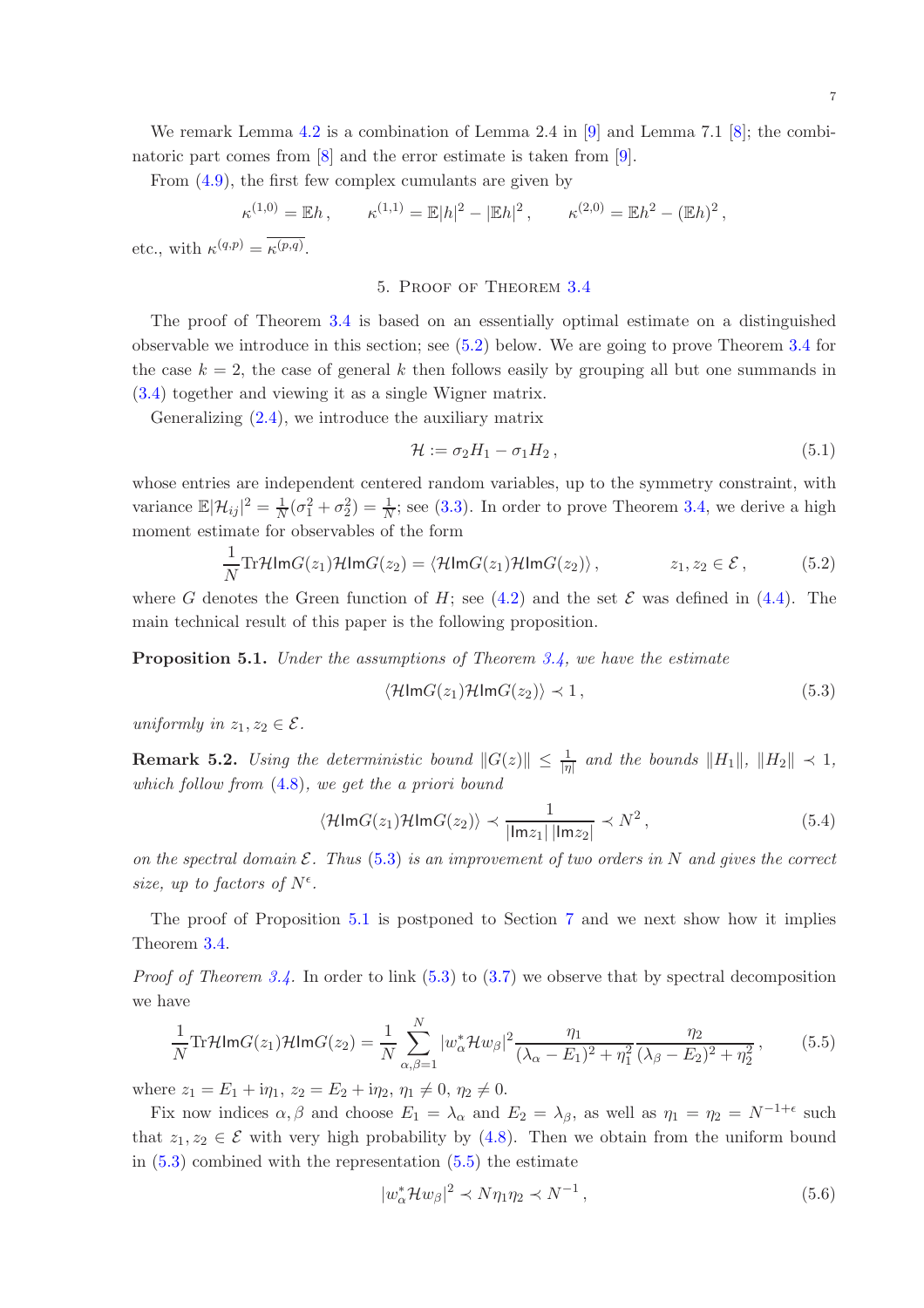We remark Lemma [4.2](#page-5-1) is a combination of Lemma 2.4 in  $[9]$  and Lemma 7.1  $[8]$ ; the combinatoric part comes from  $[8]$  and the error estimate is taken from  $[9]$ .

From [\(4.9\)](#page-5-2), the first few complex cumulants are given by

$$
\kappa^{(1,0)} = \mathbb{E}h, \qquad \kappa^{(1,1)} = \mathbb{E}|h|^2 - |\mathbb{E}h|^2, \qquad \kappa^{(2,0)} = \mathbb{E}h^2 - (\mathbb{E}h)^2,
$$

<span id="page-6-0"></span>etc., with  $\kappa^{(q,p)} = \kappa^{(p,q)}$ .

## 5. Proof of Theorem [3.4](#page-4-2)

The proof of Theorem [3.4](#page-4-2) is based on an essentially optimal estimate on a distinguished observable we introduce in this section; see [\(5.2\)](#page-6-1) below. We are going to prove Theorem [3.4](#page-4-2) for the case  $k = 2$ , the case of general k then follows easily by grouping all but one summands in [\(3.4\)](#page-3-1) together and viewing it as a single Wigner matrix.

Generalizing [\(2.4\)](#page-2-2), we introduce the auxiliary matrix

<span id="page-6-1"></span>
$$
\mathcal{H} := \sigma_2 H_1 - \sigma_1 H_2, \qquad (5.1)
$$

whose entries are independent centered random variables, up to the symmetry constraint, with variance  $\mathbb{E}|\mathcal{H}_{ij}|^2 = \frac{1}{N}$  $\frac{1}{N}(\sigma_1^2 + \sigma_2^2) = \frac{1}{N}$ ; see [\(3.3\)](#page-3-3). In order to prove Theorem [3.4,](#page-4-2) we derive a high moment estimate for observables of the form

$$
\frac{1}{N}\text{Tr}\mathcal{H}\text{Im}G(z_1)\mathcal{H}\text{Im}G(z_2) = \langle \mathcal{H}\text{Im}G(z_1)\mathcal{H}\text{Im}G(z_2) \rangle, \qquad z_1, z_2 \in \mathcal{E}, \qquad (5.2)
$$

where G denotes the Green function of H; see [\(4.2\)](#page-4-5) and the set  $\mathcal E$  was defined in [\(4.4\)](#page-4-6). The main technical result of this paper is the following proposition.

<span id="page-6-3"></span>**Proposition 5.1.** Under the assumptions of Theorem  $3.4$ , we have the estimate

<span id="page-6-2"></span>
$$
\langle \mathcal{H} \mathsf{Im} G(z_1) \mathcal{H} \mathsf{Im} G(z_2) \rangle \prec 1, \tag{5.3}
$$

uniformly in  $z_1, z_2 \in \mathcal{E}$ .

**Remark 5.2.** Using the deterministic bound  $||G(z)|| \le \frac{1}{|\eta|}$  and the bounds  $||H_1||$ ,  $||H_2|| \prec 1$ , which follow from [\(4.8\)](#page-5-3), we get the a priori bound

$$
\langle \mathcal{H} \text{Im} G(z_1) \mathcal{H} \text{Im} G(z_2) \rangle \prec \frac{1}{|\text{Im} z_1| \, |\text{Im} z_2|} \prec N^2 \,, \tag{5.4}
$$

on the spectral domain  $\mathcal E$ . Thus [\(5.3\)](#page-6-2) is an improvement of two orders in N and gives the correct size, up to factors of  $N^{\epsilon}$ .

The proof of Proposition [5.1](#page-6-3) is postponed to Section [7](#page-11-0) and we next show how it implies Theorem [3.4.](#page-4-2)

*Proof of Theorem [3.4.](#page-4-2)* In order to link  $(5.3)$  to  $(3.7)$  we observe that by spectral decomposition we have

$$
\frac{1}{N} \text{Tr} \mathcal{H} \text{Im} G(z_1) \mathcal{H} \text{Im} G(z_2) = \frac{1}{N} \sum_{\alpha,\beta=1}^{N} |w_{\alpha}^* \mathcal{H} w_{\beta}|^2 \frac{\eta_1}{(\lambda_{\alpha} - E_1)^2 + \eta_1^2} \frac{\eta_2}{(\lambda_{\beta} - E_2)^2 + \eta_2^2},\tag{5.5}
$$

where  $z_1 = E_1 + i\eta_1$ ,  $z_2 = E_2 + i\eta_2$ ,  $\eta_1 \neq 0$ ,  $\eta_2 \neq 0$ .

Fix now indices  $\alpha, \beta$  and choose  $E_1 = \lambda_\alpha$  and  $E_2 = \lambda_\beta$ , as well as  $\eta_1 = \eta_2 = N^{-1+\epsilon}$  such that  $z_1, z_2 \in \mathcal{E}$  with very high probability by [\(4.8\)](#page-5-3). Then we obtain from the uniform bound in  $(5.3)$  combined with the representation  $(5.5)$  the estimate

<span id="page-6-5"></span><span id="page-6-4"></span>
$$
|w_{\alpha}^* \mathcal{H} w_{\beta}|^2 \prec N \eta_1 \eta_2 \prec N^{-1}, \qquad (5.6)
$$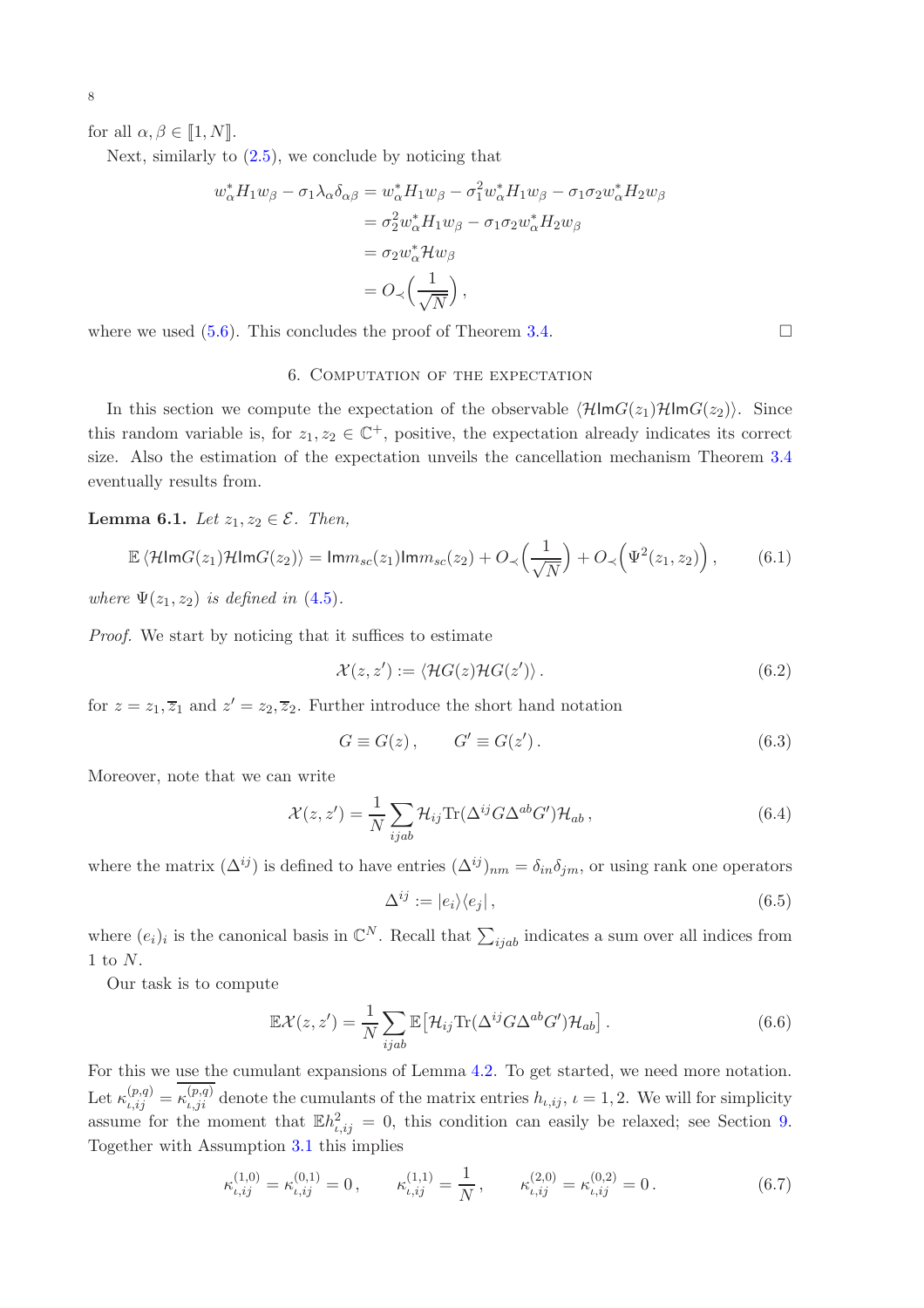8

for all  $\alpha, \beta \in [1, N]$ .

Next, similarly to  $(2.5)$ , we conclude by noticing that

$$
w_{\alpha}^* H_1 w_{\beta} - \sigma_1 \lambda_{\alpha} \delta_{\alpha\beta} = w_{\alpha}^* H_1 w_{\beta} - \sigma_1^2 w_{\alpha}^* H_1 w_{\beta} - \sigma_1 \sigma_2 w_{\alpha}^* H_2 w_{\beta}
$$
  
\n
$$
= \sigma_2^2 w_{\alpha}^* H_1 w_{\beta} - \sigma_1 \sigma_2 w_{\alpha}^* H_2 w_{\beta}
$$
  
\n
$$
= \sigma_2 w_{\alpha}^* H w_{\beta}
$$
  
\n
$$
= O_{\prec} \left(\frac{1}{\sqrt{N}}\right),
$$

<span id="page-7-2"></span>where we used  $(5.6)$ . This concludes the proof of Theorem [3.4.](#page-4-2)

## 6. Computation of the expectation

In this section we compute the expectation of the observable  $\langle \mathcal{H} \text{Im}G(z_1)\mathcal{H} \text{Im}G(z_2)\rangle$ . Since this random variable is, for  $z_1, z_2 \in \mathbb{C}^+$ , positive, the expectation already indicates its correct size. Also the estimation of the expectation unveils the cancellation mechanism Theorem [3.4](#page-4-2) eventually results from.

<span id="page-7-1"></span>Lemma 6.1. Let  $z_1, z_2 \in \mathcal{E}$ . Then,

$$
\mathbb{E}\left\langle \mathcal{H}\mathrm{Im}G(z_1)\mathcal{H}\mathrm{Im}G(z_2)\right\rangle = \mathrm{Im}m_{sc}(z_1)\mathrm{Im}m_{sc}(z_2) + O_{\prec}\left(\frac{1}{\sqrt{N}}\right) + O_{\prec}\left(\Psi^2(z_1, z_2)\right),\tag{6.1}
$$

where  $\Psi(z_1, z_2)$  is defined in [\(4.5\)](#page-5-4).

Proof. We start by noticing that it suffices to estimate

$$
\mathcal{X}(z, z') := \langle \mathcal{H}G(z)\mathcal{H}G(z') \rangle. \tag{6.2}
$$

for  $z = z_1, \overline{z}_1$  and  $z' = z_2, \overline{z}_2$ . Further introduce the short hand notation

$$
G \equiv G(z), \qquad G' \equiv G(z'). \tag{6.3}
$$

Moreover, note that we can write

$$
\mathcal{X}(z, z') = \frac{1}{N} \sum_{ijab} \mathcal{H}_{ij} \text{Tr}(\Delta^{ij} G \Delta^{ab} G') \mathcal{H}_{ab} , \qquad (6.4)
$$

where the matrix  $(\Delta^{ij})$  is defined to have entries  $(\Delta^{ij})_{nm} = \delta_{in}\delta_{im}$ , or using rank one operators

<span id="page-7-0"></span>
$$
\Delta^{ij} := |e_i\rangle\langle e_j| \,,\tag{6.5}
$$

where  $(e_i)_i$  is the canonical basis in  $\mathbb{C}^N$ . Recall that  $\sum_{ijab}$  indicates a sum over all indices from  $1$  to  $N.$ 

Our task is to compute

$$
\mathbb{E}\mathcal{X}(z,z') = \frac{1}{N} \sum_{ijab} \mathbb{E} \left[ \mathcal{H}_{ij} \text{Tr}(\Delta^{ij} G \Delta^{ab} G') \mathcal{H}_{ab} \right]. \tag{6.6}
$$

For this we use the cumulant expansions of Lemma [4.2.](#page-5-1) To get started, we need more notation. Let  $\kappa_{\iota,ij}^{(p,q)} = \kappa_{\iota,ji}^{(p,q)}$  denote the cumulants of the matrix entries  $h_{\iota,ij}$ ,  $\iota = 1,2$ . We will for simplicity assume for the moment that  $\mathbb{E}h^2_{i,ij} = 0$ , this condition can easily be relaxed; see Section [9.](#page-16-0) Together with Assumption [3.1](#page-3-2) this implies

$$
\kappa_{\iota,ij}^{(1,0)} = \kappa_{\iota,ij}^{(0,1)} = 0, \qquad \kappa_{\iota,ij}^{(1,1)} = \frac{1}{N}, \qquad \kappa_{\iota,ij}^{(2,0)} = \kappa_{\iota,ij}^{(0,2)} = 0.
$$
\n(6.7)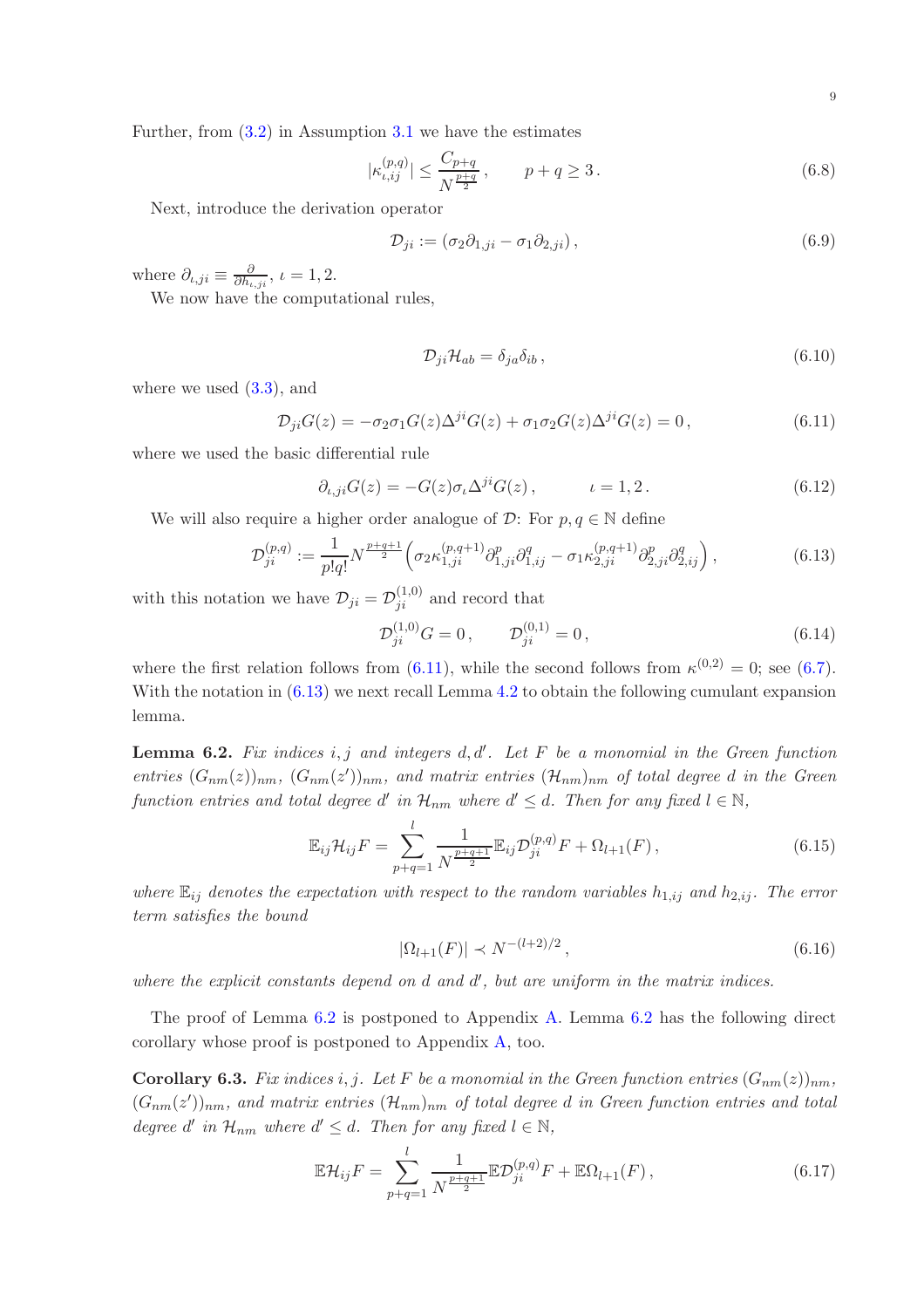Further, from [\(3.2\)](#page-3-4) in Assumption [3.1](#page-3-2) we have the estimates

$$
|\kappa_{\iota, ij}^{(p,q)}| \le \frac{C_{p+q}}{N^{\frac{p+q}{2}}}, \qquad p+q \ge 3.
$$
 (6.8)

Next, introduce the derivation operator

<span id="page-8-6"></span>
$$
\mathcal{D}_{ji} := (\sigma_2 \partial_{1,ji} - \sigma_1 \partial_{2,ji}), \qquad (6.9)
$$

where  $\partial_{\iota,j}i} \equiv \frac{\partial}{\partial h_{\iota}}$  $\frac{\partial}{\partial h_{\iota,ji}},\,\iota=1,2.$ 

We now have the computational rules,

<span id="page-8-7"></span><span id="page-8-4"></span><span id="page-8-1"></span><span id="page-8-0"></span>
$$
\mathcal{D}_{ji}\mathcal{H}_{ab} = \delta_{ja}\delta_{ib} , \qquad (6.10)
$$

where we used  $(3.3)$ , and

$$
\mathcal{D}_{ji}G(z) = -\sigma_2 \sigma_1 G(z) \Delta^{ji} G(z) + \sigma_1 \sigma_2 G(z) \Delta^{ji} G(z) = 0, \qquad (6.11)
$$

where we used the basic differential rule

$$
\partial_{\iota,j}G(z) = -G(z)\sigma_{\iota}\Delta^{ji}G(z), \qquad \iota = 1,2. \qquad (6.12)
$$

We will also require a higher order analogue of  $\mathcal{D}$ : For  $p, q \in \mathbb{N}$  define

$$
\mathcal{D}_{ji}^{(p,q)} := \frac{1}{p!q!} N^{\frac{p+q+1}{2}} \Big( \sigma_2 \kappa_{1,ji}^{(p,q+1)} \partial_{1,ji}^p \partial_{1,ij}^q - \sigma_1 \kappa_{2,ji}^{(p,q+1)} \partial_{2,ji}^p \partial_{2,ij}^q \Big), \tag{6.13}
$$

with this notation we have  $\mathcal{D}_{ji} = \mathcal{D}_{ji}^{(1,0)}$  and record that

<span id="page-8-5"></span>
$$
\mathcal{D}_{ji}^{(1,0)}G = 0, \qquad \mathcal{D}_{ji}^{(0,1)} = 0, \tag{6.14}
$$

where the first relation follows from [\(6.11\)](#page-8-0), while the second follows from  $\kappa^{(0,2)} = 0$ ; see [\(6.7\)](#page-7-0). With the notation in  $(6.13)$  we next recall Lemma [4.2](#page-5-1) to obtain the following cumulant expansion lemma.

<span id="page-8-2"></span>**Lemma 6.2.** Fix indices i, j and integers  $d, d'$ . Let F be a monomial in the Green function entries  $(G_{nm}(z))_{nm}$ ,  $(G_{nm}(z'))_{nm}$ , and matrix entries  $(\mathcal{H}_{nm})_{nm}$  of total degree d in the Green function entries and total degree d' in  $\mathcal{H}_{nm}$  where  $d' \leq d$ . Then for any fixed  $l \in \mathbb{N}$ ,

$$
\mathbb{E}_{ij} \mathcal{H}_{ij} F = \sum_{p+q=1}^{l} \frac{1}{N^{\frac{p+q+1}{2}}} \mathbb{E}_{ij} \mathcal{D}_{ji}^{(p,q)} F + \Omega_{l+1}(F) ,
$$
\n(6.15)

where  $\mathbb{E}_{ij}$  denotes the expectation with respect to the random variables  $h_{1,ij}$  and  $h_{2,ij}$ . The error term satisfies the bound

<span id="page-8-8"></span>
$$
|\Omega_{l+1}(F)| \prec N^{-(l+2)/2}, \qquad (6.16)
$$

where the explicit constants depend on  $d$  and  $d'$ , but are uniform in the matrix indices.

The proof of Lemma [6.2](#page-8-2) is postponed to Appendix [A.](#page-17-0) Lemma [6.2](#page-8-2) has the following direct corollary whose proof is postponed to Appendix [A,](#page-17-0) too.

<span id="page-8-3"></span>**Corollary 6.3.** Fix indices i, j. Let F be a monomial in the Green function entries  $(G_{nm}(z))_{nm}$ ,  $(G_{nm}(z'))_{nm}$ , and matrix entries  $(\mathcal{H}_{nm})_{nm}$  of total degree d in Green function entries and total degree d' in  $\mathcal{H}_{nm}$  where  $d' \leq d$ . Then for any fixed  $l \in \mathbb{N}$ ,

$$
\mathbb{E}\mathcal{H}_{ij}F = \sum_{p+q=1}^{l} \frac{1}{N^{\frac{p+q+1}{2}}}\mathbb{E}\mathcal{D}_{ji}^{(p,q)}F + \mathbb{E}\Omega_{l+1}(F)\,,\tag{6.17}
$$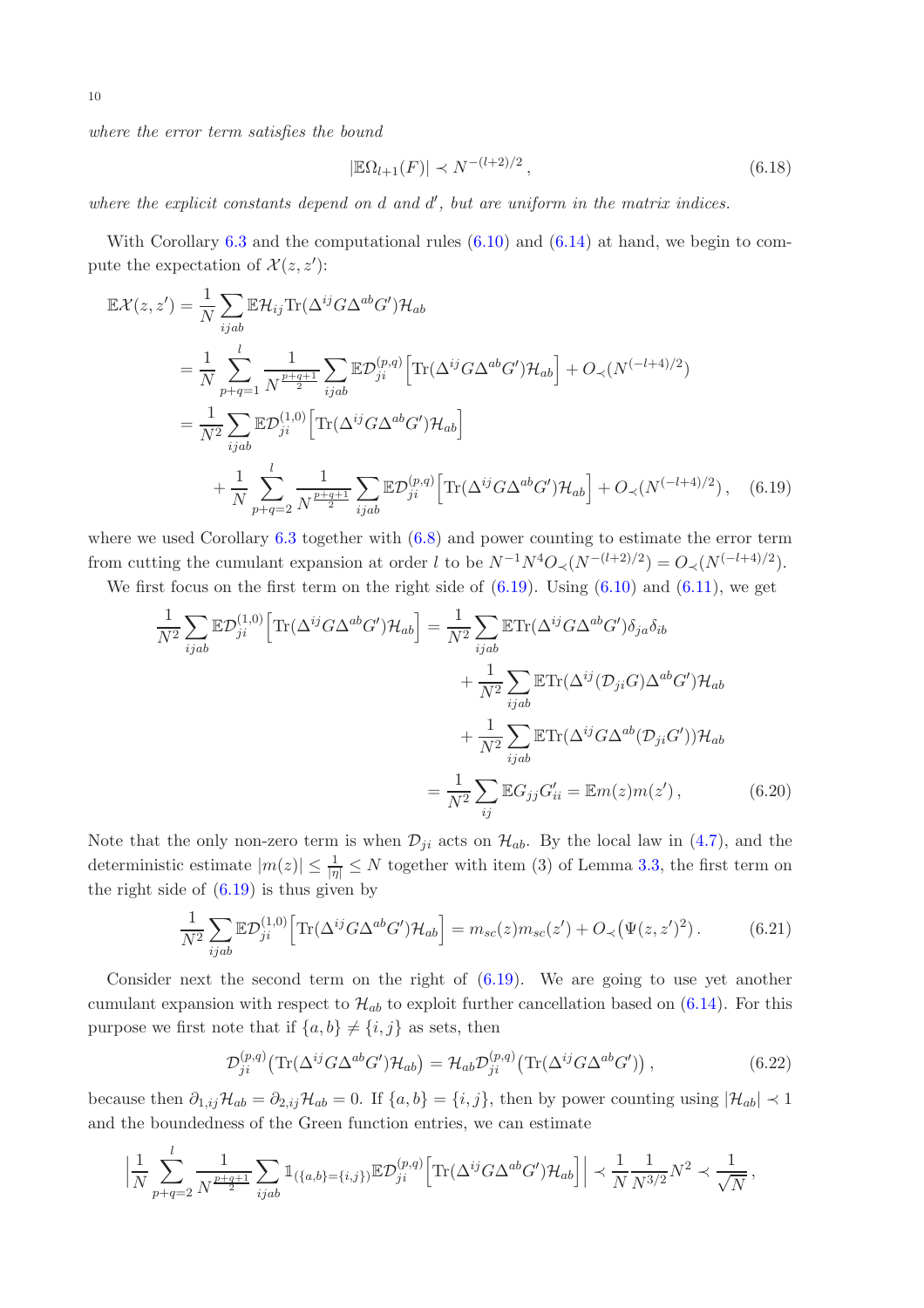where the error term satisfies the bound

<span id="page-9-0"></span>
$$
|\mathbb{E}\Omega_{l+1}(F)| \prec N^{-(l+2)/2}, \qquad (6.18)
$$

where the explicit constants depend on  $d$  and  $d'$ , but are uniform in the matrix indices.

With Corollary  $6.3$  and the computational rules  $(6.10)$  and  $(6.14)$  at hand, we begin to compute the expectation of  $\mathcal{X}(z, z')$ :

$$
\mathbb{E}\mathcal{X}(z,z') = \frac{1}{N} \sum_{ijab} \mathbb{E}\mathcal{H}_{ij} \text{Tr}(\Delta^{ij}G\Delta^{ab}G')\mathcal{H}_{ab}
$$
  
\n
$$
= \frac{1}{N} \sum_{p+q=1}^{l} \frac{1}{N^{\frac{p+q+1}{2}}} \sum_{ijab} \mathbb{E}\mathcal{D}_{ji}^{(p,q)} \Big[ \text{Tr}(\Delta^{ij}G\Delta^{ab}G')\mathcal{H}_{ab} \Big] + O_{\prec}(N^{(-l+4)/2})
$$
  
\n
$$
= \frac{1}{N^2} \sum_{ijab} \mathbb{E}\mathcal{D}_{ji}^{(1,0)} \Big[ \text{Tr}(\Delta^{ij}G\Delta^{ab}G')\mathcal{H}_{ab} \Big]
$$
  
\n
$$
+ \frac{1}{N} \sum_{p+q=2}^{l} \frac{1}{N^{\frac{p+q+1}{2}}} \sum_{ijab} \mathbb{E}\mathcal{D}_{ji}^{(p,q)} \Big[ \text{Tr}(\Delta^{ij}G\Delta^{ab}G')\mathcal{H}_{ab} \Big] + O_{\prec}(N^{(-l+4)/2}), \quad (6.19)
$$

where we used Corollary [6.3](#page-8-3) together with  $(6.8)$  and power counting to estimate the error term from cutting the cumulant expansion at order l to be  $N^{-1}N^4O \langle (N^{-(l+2)/2}) = O \langle (N^{(-l+4)/2})$ .

We first focus on the first term on the right side of  $(6.19)$ . Using  $(6.10)$  and  $(6.11)$ , we get

$$
\frac{1}{N^2} \sum_{ijab} \mathbb{E} \mathcal{D}_{ji}^{(1,0)} \Big[ \text{Tr}(\Delta^{ij} G \Delta^{ab} G') \mathcal{H}_{ab} \Big] = \frac{1}{N^2} \sum_{ijab} \mathbb{E} \text{Tr}(\Delta^{ij} G \Delta^{ab} G') \delta_{ja} \delta_{ib}
$$

$$
+ \frac{1}{N^2} \sum_{ijab} \mathbb{E} \text{Tr}(\Delta^{ij} (\mathcal{D}_{ji} G) \Delta^{ab} G') \mathcal{H}_{ab}
$$

$$
+ \frac{1}{N^2} \sum_{ijab} \mathbb{E} \text{Tr}(\Delta^{ij} G \Delta^{ab} (\mathcal{D}_{ji} G')) \mathcal{H}_{ab}
$$

$$
= \frac{1}{N^2} \sum_{ij} \mathbb{E} G_{jj} G'_{ii} = \mathbb{E} m(z) m(z'), \qquad (6.20)
$$

Note that the only non-zero term is when  $\mathcal{D}_{ji}$  acts on  $\mathcal{H}_{ab}$ . By the local law in [\(4.7\)](#page-5-5), and the deterministic estimate  $|m(z)| \leq \frac{1}{|\eta|} \leq N$  together with item (3) of Lemma [3.3,](#page-3-5) the first term on the right side of  $(6.19)$  is thus given by

<span id="page-9-2"></span>
$$
\frac{1}{N^2} \sum_{ijab} \mathbb{E} \mathcal{D}_{ji}^{(1,0)} \Big[ \text{Tr}(\Delta^{ij} G \Delta^{ab} G') \mathcal{H}_{ab} \Big] = m_{sc}(z) m_{sc}(z') + O_{\prec}(\Psi(z, z')^2). \tag{6.21}
$$

Consider next the second term on the right of  $(6.19)$ . We are going to use yet another cumulant expansion with respect to  $\mathcal{H}_{ab}$  to exploit further cancellation based on [\(6.14\)](#page-8-5). For this purpose we first note that if  $\{a, b\} \neq \{i, j\}$  as sets, then

<span id="page-9-1"></span>
$$
\mathcal{D}_{ji}^{(p,q)}\big(\text{Tr}(\Delta^{ij}G\Delta^{ab}G')\mathcal{H}_{ab}\big) = \mathcal{H}_{ab}\mathcal{D}_{ji}^{(p,q)}\big(\text{Tr}(\Delta^{ij}G\Delta^{ab}G')\big)\,,\tag{6.22}
$$

because then  $\partial_{1,ij}\mathcal{H}_{ab} = \partial_{2,ij}\mathcal{H}_{ab} = 0$ . If  $\{a,b\} = \{i,j\}$ , then by power counting using  $|\mathcal{H}_{ab}| \prec 1$ and the boundedness of the Green function entries, we can estimate

$$
\left| \frac{1}{N} \sum_{p+q=2}^{l} \frac{1}{N^{\frac{p+q+1}{2}}} \sum_{ijab} \mathbb{1}_{(\{a,b\}=\{i,j\})} \mathbb{E} \mathcal{D}_{ji}^{(p,q)} \left[ \text{Tr}(\Delta^{ij} G \Delta^{ab} G') \mathcal{H}_{ab} \right] \right| \prec \frac{1}{N} \frac{1}{N^{3/2}} N^2 \prec \frac{1}{\sqrt{N}},
$$

10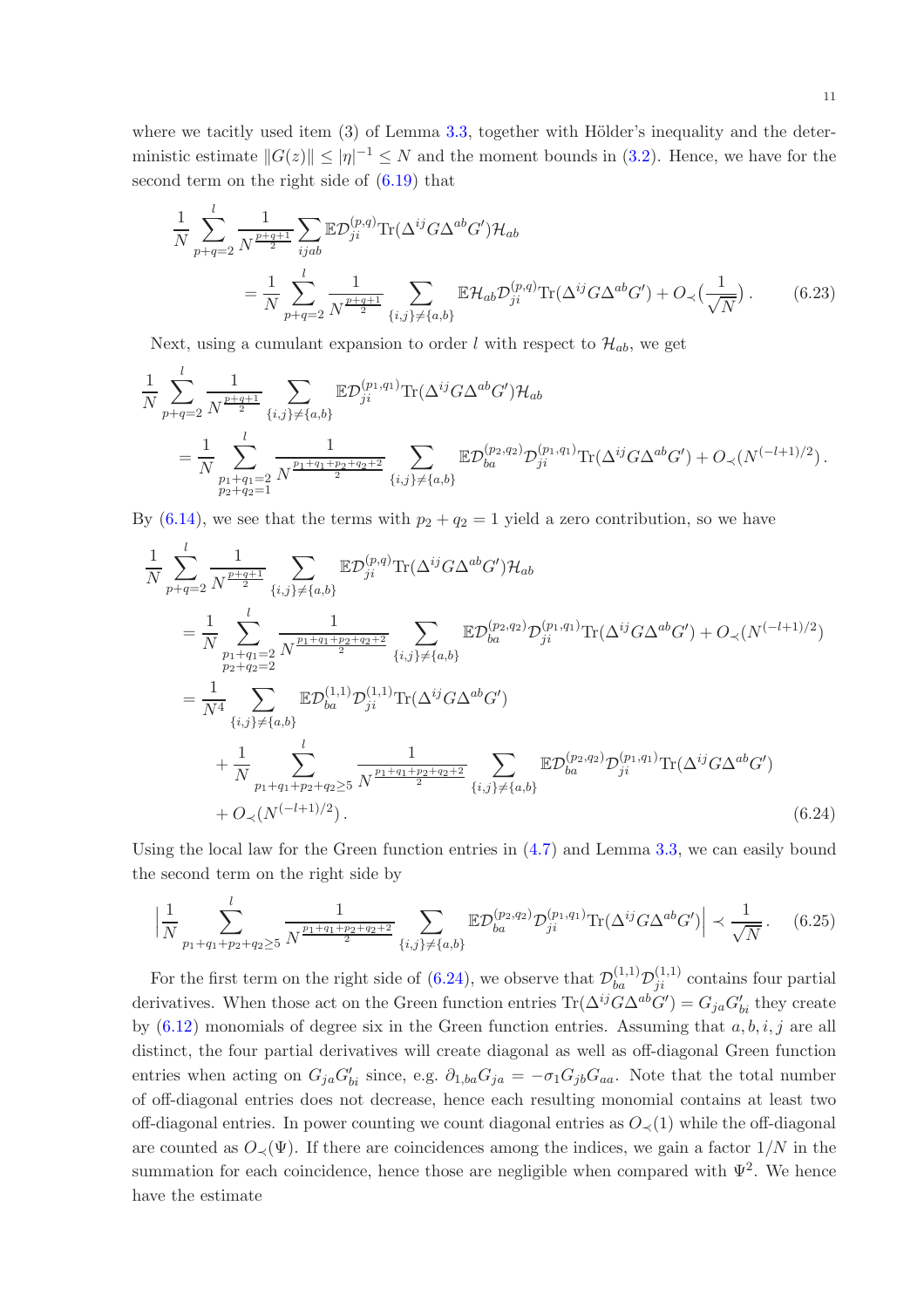where we tacitly used item  $(3)$  of Lemma [3.3,](#page-3-5) together with Hölder's inequality and the deterministic estimate  $||G(z)|| \le |\eta|^{-1} \le N$  and the moment bounds in [\(3.2\)](#page-3-4). Hence, we have for the second term on the right side of [\(6.19\)](#page-9-0) that

<span id="page-10-2"></span>
$$
\frac{1}{N} \sum_{p+q=2}^{l} \frac{1}{N^{\frac{p+q+1}{2}}} \sum_{ijab} \mathbb{E} \mathcal{D}_{ji}^{(p,q)} \text{Tr}(\Delta^{ij} G \Delta^{ab} G') \mathcal{H}_{ab} \n= \frac{1}{N} \sum_{p+q=2}^{l} \frac{1}{N^{\frac{p+q+1}{2}}} \sum_{\{i,j\} \neq \{a,b\}} \mathbb{E} \mathcal{H}_{ab} \mathcal{D}_{ji}^{(p,q)} \text{Tr}(\Delta^{ij} G \Delta^{ab} G') + O_{\prec}(\frac{1}{\sqrt{N}}).
$$
\n(6.23)

Next, using a cumulant expansion to order l with respect to  $\mathcal{H}_{ab}$ , we get

$$
\frac{1}{N} \sum_{p+q=2}^{l} \frac{1}{N^{\frac{p+q+1}{2}}} \sum_{\{i,j\} \neq \{a,b\}} \mathbb{E} \mathcal{D}_{ji}^{(p_1,q_1)} \text{Tr}(\Delta^{ij} G \Delta^{ab} G') \mathcal{H}_{ab} \n= \frac{1}{N} \sum_{\substack{p_1+q_1=2 \\ p_2+q_2=1}}^{l} \frac{1}{N^{\frac{p_1+q_1+p_2+q_2+2}{2}}} \sum_{\{i,j\} \neq \{a,b\}} \mathbb{E} \mathcal{D}_{ba}^{(p_2,q_2)} \mathcal{D}_{ji}^{(p_1,q_1)} \text{Tr}(\Delta^{ij} G \Delta^{ab} G') + O_{\prec}(N^{(-l+1)/2}).
$$

By [\(6.14\)](#page-8-5), we see that the terms with  $p_2 + q_2 = 1$  yield a zero contribution, so we have

$$
\frac{1}{N} \sum_{p+q=2}^{l} \frac{1}{N^{\frac{p+q+1}{2}}} \sum_{\{i,j\} \neq \{a,b\}} \mathbb{E} \mathcal{D}_{ji}^{(p,q)} \text{Tr}(\Delta^{ij} G \Delta^{ab} G') \mathcal{H}_{ab} \n= \frac{1}{N} \sum_{\substack{p_1+q_1=2 \\ p_2+q_2=2}}^{l} \frac{1}{N^{\frac{p_1+q_1+p_2+q_2+2}{2}}} \sum_{\{i,j\} \neq \{a,b\}} \mathbb{E} \mathcal{D}_{ba}^{(p_2,q_2)} \mathcal{D}_{ji}^{(p_1,q_1)} \text{Tr}(\Delta^{ij} G \Delta^{ab} G') + O_{\prec}(N^{(-l+1)/2}) \n= \frac{1}{N^4} \sum_{\{i,j\} \neq \{a,b\}} \mathbb{E} \mathcal{D}_{ba}^{(1,1)} \mathcal{D}_{ji}^{(1,1)} \text{Tr}(\Delta^{ij} G \Delta^{ab} G')
$$
\n
$$
+ \frac{1}{N} \sum_{p_1+q_1+p_2+q_2 \geq 5} \frac{1}{N^{\frac{p_1+q_1+p_2+q_2+2}{2}}} \sum_{\{i,j\} \neq \{a,b\}} \mathbb{E} \mathcal{D}_{ba}^{(p_2,q_2)} \mathcal{D}_{ji}^{(p_1,q_1)} \text{Tr}(\Delta^{ij} G \Delta^{ab} G')
$$
\n
$$
+ O_{\prec}(N^{(-l+1)/2}). \tag{6.24}
$$

Using the local law for the Green function entries in  $(4.7)$  and Lemma [3.3,](#page-3-5) we can easily bound the second term on the right side by

<span id="page-10-1"></span><span id="page-10-0"></span>
$$
\left| \frac{1}{N} \sum_{p_1+q_1+p_2+q_2 \ge 5}^{l} \frac{1}{N^{\frac{p_1+q_1+p_2+q_2+2}{2}} \sum_{\{i,j\} \ne \{a,b\}} \mathbb{E} \mathcal{D}_{ba}^{(p_2,q_2)} \mathcal{D}_{ji}^{(p_1,q_1)} \text{Tr}(\Delta^{ij} G \Delta^{ab} G') \right| \prec \frac{1}{\sqrt{N}}.
$$
 (6.25)

For the first term on the right side of [\(6.24\)](#page-10-0), we observe that  $\mathcal{D}_{ba}^{(1,1)}\mathcal{D}_{ji}^{(1,1)}$  contains four partial derivatives. When those act on the Green function entries  $\text{Tr}(\Delta^{ij}G\Delta^{ab}G') = G_{ja}G'_{bi}$  they create by  $(6.12)$  monomials of degree six in the Green function entries. Assuming that  $a, b, i, j$  are all distinct, the four partial derivatives will create diagonal as well as off-diagonal Green function entries when acting on  $G_{ja}G'_{bi}$  since, e.g.  $\partial_{1,ba}G_{ja} = -\sigma_1 G_{jb}G_{aa}$ . Note that the total number of off-diagonal entries does not decrease, hence each resulting monomial contains at least two off-diagonal entries. In power counting we count diagonal entries as  $O(1)$  while the off-diagonal are counted as  $O_{\prec}(\Psi)$ . If there are coincidences among the indices, we gain a factor  $1/N$  in the summation for each coincidence, hence those are negligible when compared with  $\Psi^2$ . We hence have the estimate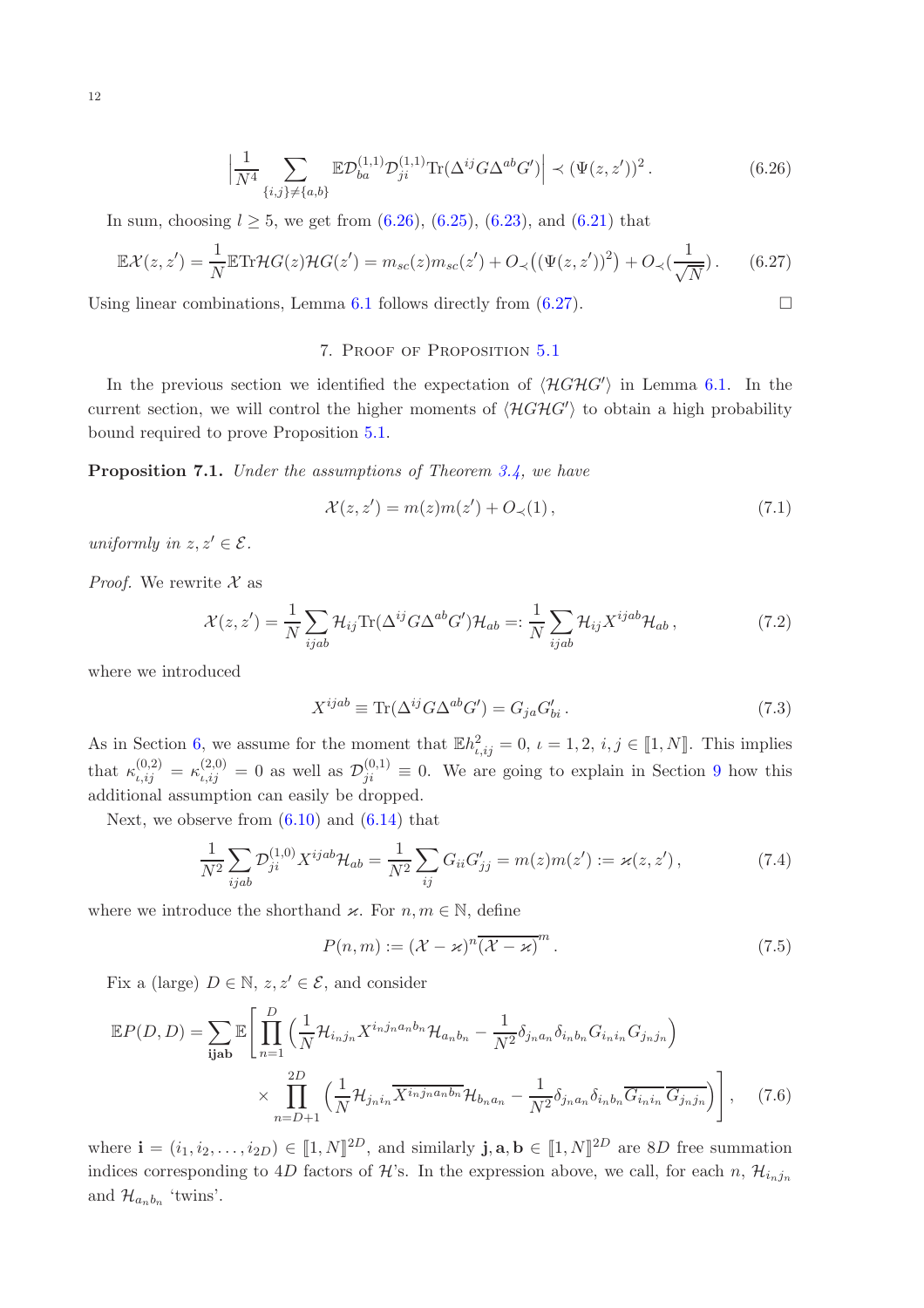$$
\left| \frac{1}{N^4} \sum_{\{i,j\} \neq \{a,b\}} \mathbb{E} \mathcal{D}_{ba}^{(1,1)} \mathcal{D}_{ji}^{(1,1)} \text{Tr}(\Delta^{ij} G \Delta^{ab} G') \right| \prec (\Psi(z, z'))^2. \tag{6.26}
$$

In sum, choosing  $l \geq 5$ , we get from  $(6.26)$ ,  $(6.25)$ ,  $(6.23)$ , and  $(6.21)$  that

$$
\mathbb{E}\mathcal{X}(z,z') = \frac{1}{N}\mathbb{E}\text{Tr}\mathcal{H}G(z)\mathcal{H}G(z') = m_{sc}(z)m_{sc}(z') + O_{\prec}\big((\Psi(z,z'))^2\big) + O_{\prec}\big(\frac{1}{\sqrt{N}}\big).
$$
 (6.27)

<span id="page-11-0"></span>Using linear combinations, Lemma [6.1](#page-7-1) follows directly from  $(6.27)$ .

# <span id="page-11-2"></span><span id="page-11-1"></span>7. Proof of Proposition [5.1](#page-6-3)

In the previous section we identified the expectation of  $\langle \mathcal{H}GHG' \rangle$  in Lemma [6.1.](#page-7-1) In the current section, we will control the higher moments of  $\langle \mathcal{H}GHG' \rangle$  to obtain a high probability bound required to prove Proposition [5.1.](#page-6-3)

<span id="page-11-8"></span>Proposition 7.1. Under the assumptions of Theorem [3.4,](#page-4-2) we have

<span id="page-11-5"></span>
$$
\mathcal{X}(z, z') = m(z)m(z') + O_{\prec}(1),\tag{7.1}
$$

uniformly in  $z, z' \in \mathcal{E}$ .

*Proof.* We rewrite  $\mathcal{X}$  as

$$
\mathcal{X}(z, z') = \frac{1}{N} \sum_{ijab} \mathcal{H}_{ij} \text{Tr}(\Delta^{ij} G \Delta^{ab} G') \mathcal{H}_{ab} =: \frac{1}{N} \sum_{ijab} \mathcal{H}_{ij} X^{ijab} \mathcal{H}_{ab} ,
$$
 (7.2)

where we introduced

<span id="page-11-6"></span>
$$
X^{ijab} \equiv \text{Tr}(\Delta^{ij} G \Delta^{ab} G') = G_{ja} G'_{bi}.
$$
\n(7.3)

As in Section [6,](#page-7-2) we assume for the moment that  $\mathbb{E}h_{i,ij}^2 = 0$ ,  $\iota = 1, 2, i, j \in [1, N]$ . This implies that  $\kappa_{i,ij}^{(0,2)} = \kappa_{i,ij}^{(2,0)} = 0$  as well as  $\mathcal{D}_{ji}^{(0,1)} \equiv 0$ . We are going to explain in Section [9](#page-16-0) how this additional assumption can easily be dropped.

Next, we observe from  $(6.10)$  and  $(6.14)$  that

$$
\frac{1}{N^2} \sum_{ijab} \mathcal{D}_{ji}^{(1,0)} X^{ijab} \mathcal{H}_{ab} = \frac{1}{N^2} \sum_{ij} G_{ii} G'_{jj} = m(z) m(z') := \varkappa(z, z'), \tag{7.4}
$$

where we introduce the shorthand  $\varkappa$ . For  $n, m \in \mathbb{N}$ , define

<span id="page-11-7"></span><span id="page-11-4"></span><span id="page-11-3"></span>
$$
P(n,m) := (\mathcal{X} - \varkappa)^n \overline{(\mathcal{X} - \varkappa)}^m.
$$
\n(7.5)

Fix a (large)  $D \in \mathbb{N}$ ,  $z, z' \in \mathcal{E}$ , and consider

$$
\mathbb{E}P(D,D) = \sum_{\mathbf{i}\mathbf{j}\mathbf{a}\mathbf{b}} \mathbb{E}\left[\prod_{n=1}^{D} \left(\frac{1}{N} \mathcal{H}_{i_n j_n} X^{i_n j_n a_n b_n} \mathcal{H}_{a_n b_n} - \frac{1}{N^2} \delta_{j_n a_n} \delta_{i_n b_n} G_{i_n i_n} G_{j_n j_n}\right) \times \prod_{n=D+1}^{2D} \left(\frac{1}{N} \mathcal{H}_{j_n i_n} \overline{X^{i_n j_n a_n b_n}} \mathcal{H}_{b_n a_n} - \frac{1}{N^2} \delta_{j_n a_n} \delta_{i_n b_n} \overline{G_{i_n i_n}} \overline{G_{j_n j_n}}\right)\right], \quad (7.6)
$$

where  $\mathbf{i} = (i_1, i_2, \dots, i_{2D}) \in [1, N]^{2D}$ , and similarly  $\mathbf{j}, \mathbf{a}, \mathbf{b} \in [1, N]^{2D}$  are 8D free summation indices corresponding to 4D factors of H's. In the expression above, we call, for each n,  $\mathcal{H}_{i_nj_n}$ and  $\mathcal{H}_{a_n b_n}$  'twins'.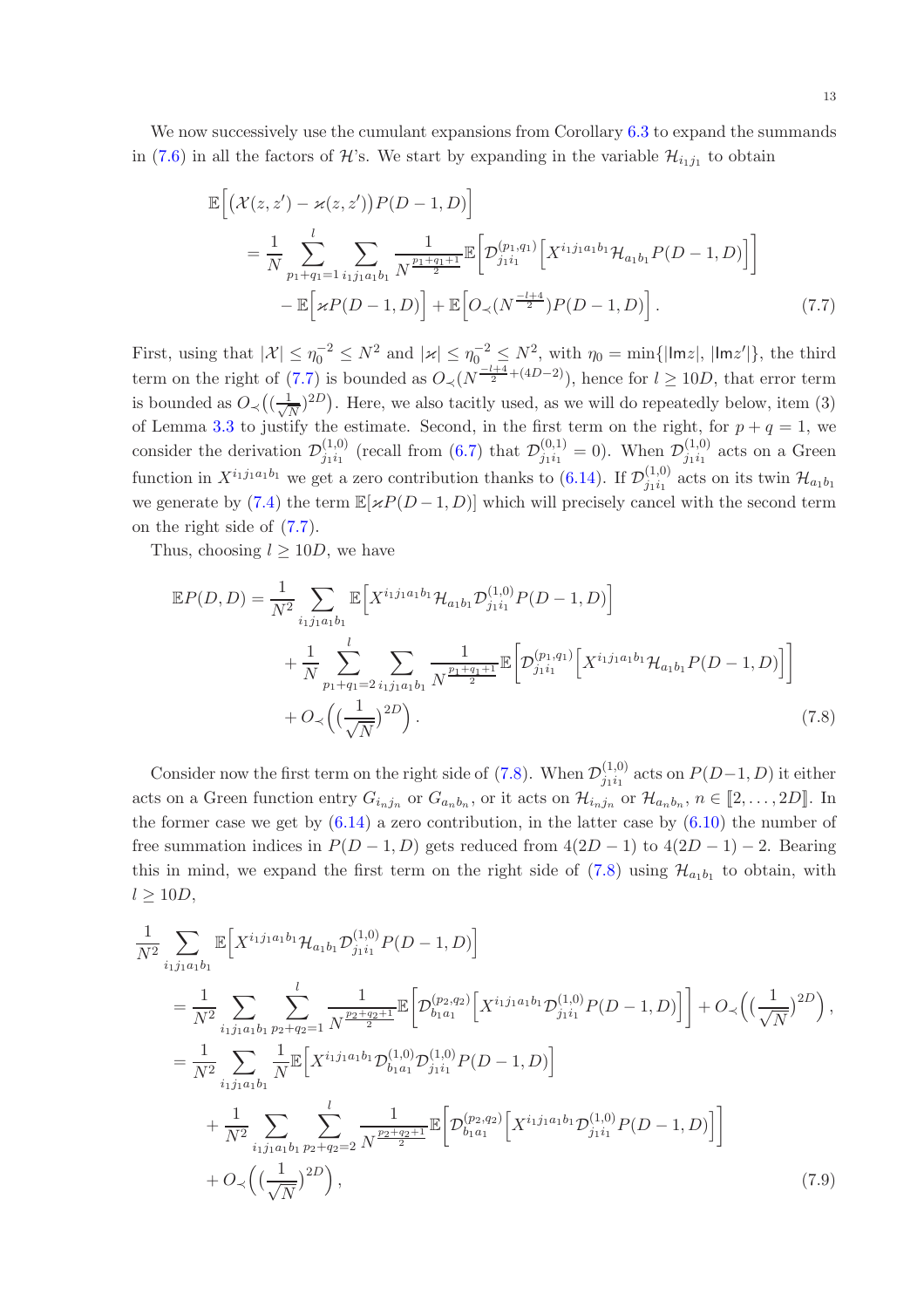We now successively use the cumulant expansions from Corollary [6.3](#page-8-3) to expand the summands in [\(7.6\)](#page-11-3) in all the factors of  $\mathcal{H}$ 's. We start by expanding in the variable  $\mathcal{H}_{i_1j_1}$  to obtain

<span id="page-12-0"></span>
$$
\mathbb{E}\Big[\big(\mathcal{X}(z,z') - \varkappa(z,z')\big)P(D-1,D)\Big] \n= \frac{1}{N} \sum_{p_1+q_1=1}^{l} \sum_{i_1j_1a_1b_1} \frac{1}{N^{\frac{p_1+q_1+1}{2}}}\mathbb{E}\Big[\mathcal{D}_{j_1i_1}^{(p_1,q_1)}\Big[X^{i_1j_1a_1b_1}\mathcal{H}_{a_1b_1}P(D-1,D)\Big]\Big] \n- \mathbb{E}\Big[\varkappa P(D-1,D)\Big] + \mathbb{E}\Big[\mathcal{O}_{\prec}(N^{\frac{-l+4}{2}})P(D-1,D)\Big].
$$
\n(7.7)

First, using that  $|\mathcal{X}| \leq \eta_0^{-2} \leq N^2$  and  $|\varkappa| \leq \eta_0^{-2} \leq N^2$ , with  $\eta_0 = \min\{|\text{Im}z|, |\text{Im}z'|\}$ , the third term on the right of [\(7.7\)](#page-12-0) is bounded as  $O\left(\sqrt{N-\frac{l+4}{2}}+(4D-2)\right)$ , hence for  $l\geq 10D$ , that error term is bounded as  $O\left(\left(\frac{1}{\sqrt{N}}\right)^{2D}\right)$ . Here, we also tacitly used, as we will do repeatedly below, item (3) of Lemma [3.3](#page-3-5) to justify the estimate. Second, in the first term on the right, for  $p + q = 1$ , we consider the derivation  $\mathcal{D}_{j_1 i_1}^{(1,0)}$  $j_{1}^{(1,0)}$  (recall from [\(6.7\)](#page-7-0) that  $\mathcal{D}_{j_1}^{(0,1)}$  $j_{1}^{(0,1)}=0$ . When  $\mathcal{D}_{j_1i_1}^{(1,0)}$  $j_1i_1^{(1,0)}$  acts on a Green function in  $X^{i_1 j_1 a_1 b_1}$  we get a zero contribution thanks to [\(6.14\)](#page-8-5). If  $\mathcal{D}_{j_1 i_1}^{(1,0)}$  $j_1 i_1^{(1,0)}$  acts on its twin  $\mathcal{H}_{a_1 b_1}$ we generate by [\(7.4\)](#page-11-4) the term  $\mathbb{E}[\varkappa P(D-1,D)]$  which will precisely cancel with the second term on the right side of [\(7.7\)](#page-12-0).

Thus, choosing  $l \geq 10D$ , we have

<span id="page-12-1"></span>
$$
\mathbb{E}P(D,D) = \frac{1}{N^2} \sum_{i_1 j_1 a_1 b_1} \mathbb{E}\Big[X^{i_1 j_1 a_1 b_1} \mathcal{H}_{a_1 b_1} \mathcal{D}_{j_1 i_1}^{(1,0)} P(D-1,D)\Big] + \frac{1}{N} \sum_{p_1+q_1=2}^l \sum_{i_1 j_1 a_1 b_1} \frac{1}{N^{\frac{p_1+q_1+1}{2}}} \mathbb{E}\Big[\mathcal{D}_{j_1 i_1}^{(p_1,q_1)} \Big[X^{i_1 j_1 a_1 b_1} \mathcal{H}_{a_1 b_1} P(D-1,D)\Big]\Big] + O_{\prec}\Big(\big(\frac{1}{\sqrt{N}}\big)^{2D}\Big).
$$
\n(7.8)

Consider now the first term on the right side of [\(7.8\)](#page-12-1). When  $\mathcal{D}_{j_1 i_1}^{(1,0)}$  $j_1i_1^{(1,0)}$  acts on  $P(D-1, D)$  it either acts on a Green function entry  $G_{i_nj_n}$  or  $G_{a_nb_n}$ , or it acts on  $\mathcal{H}_{i_nj_n}$  or  $\mathcal{H}_{a_nb_n}$ ,  $n \in [2,\ldots,2D]$ . In the former case we get by  $(6.14)$  a zero contribution, in the latter case by  $(6.10)$  the number of free summation indices in  $P(D-1, D)$  gets reduced from  $4(2D-1)$  to  $4(2D-1)-2$ . Bearing this in mind, we expand the first term on the right side of  $(7.8)$  using  $\mathcal{H}_{a_1b_1}$  to obtain, with  $l \geq 10D$ ,

<span id="page-12-2"></span>
$$
\frac{1}{N^2} \sum_{i_1 j_1 a_1 b_1} \mathbb{E} \Big[ X^{i_1 j_1 a_1 b_1} \mathcal{H}_{a_1 b_1} \mathcal{D}_{j_1 i_1}^{(1,0)} P(D-1, D) \Big] \n= \frac{1}{N^2} \sum_{i_1 j_1 a_1 b_1} \sum_{p_2 + q_2 = 1} \frac{1}{N^{\frac{p_2 + q_2 + 1}{2}}} \mathbb{E} \Big[ \mathcal{D}_{b_1 a_1}^{(p_2, q_2)} \Big[ X^{i_1 j_1 a_1 b_1} \mathcal{D}_{j_1 i_1}^{(1,0)} P(D-1, D) \Big] \Big] + O_{\prec} \Big( \big(\frac{1}{\sqrt{N}}\big)^{2D} \Big), \n= \frac{1}{N^2} \sum_{i_1 j_1 a_1 b_1} \frac{1}{N} \mathbb{E} \Big[ X^{i_1 j_1 a_1 b_1} \mathcal{D}_{b_1 a_1}^{(1,0)} \mathcal{D}_{j_1 i_1}^{(1,0)} P(D-1, D) \Big] \n+ \frac{1}{N^2} \sum_{i_1 j_1 a_1 b_1} \sum_{p_2 + q_2 = 2} \frac{1}{N^{\frac{p_2 + q_2 + 1}{2}}} \mathbb{E} \Big[ \mathcal{D}_{b_1 a_1}^{(p_2, q_2)} \Big[ X^{i_1 j_1 a_1 b_1} \mathcal{D}_{j_1 i_1}^{(1,0)} P(D-1, D) \Big] \Big] \n+ O_{\prec} \Big( \big(\frac{1}{\sqrt{N}}\big)^{2D} \Big), \tag{7.9}
$$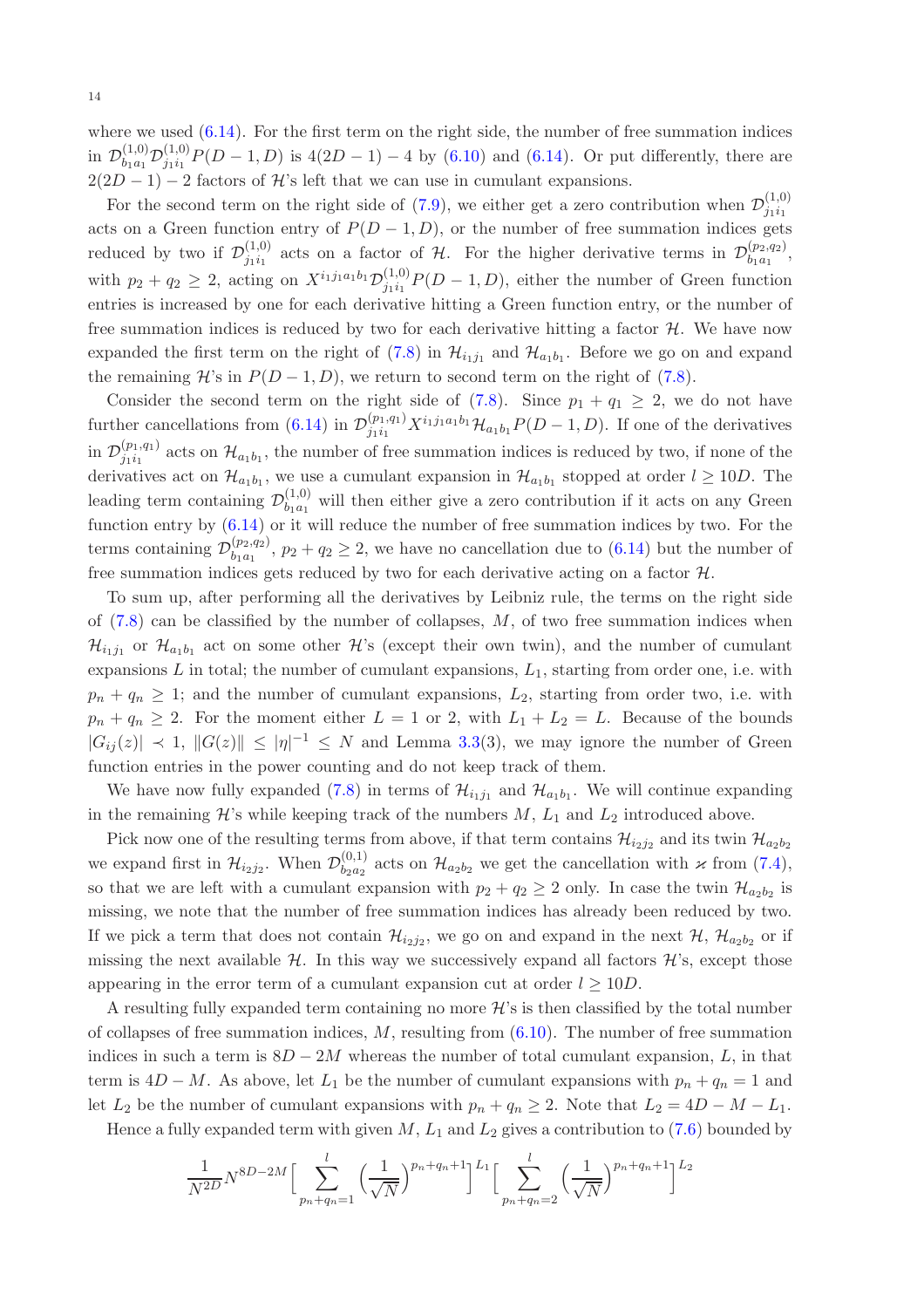where we used  $(6.14)$ . For the first term on the right side, the number of free summation indices in  $\mathcal{D}_{b_{1}a_{1}}^{(1,0)}$  $\partial_{b_{1}a_{1}}^{(1,0)}\mathcal{D}_{j_{1}i_{1}}^{(1,0)}$  $j_{1i_1}^{(1,0)}P(D-1,D)$  is  $4(2D-1)-4$  by  $(6.10)$  and  $(6.14)$ . Or put differently, there are  $2(2D-1)-2$  factors of H's left that we can use in cumulant expansions.

For the second term on the right side of [\(7.9\)](#page-12-2), we either get a zero contribution when  $\mathcal{D}_{j_1i_1}^{(1,0)}$  $j_1i_1$ acts on a Green function entry of  $P(D-1, D)$ , or the number of free summation indices gets reduced by two if  $\mathcal{D}_{j_1i_1}^{(1,0)}$  $j_1i_1$  acts on a factor of H. For the higher derivative terms in  $\mathcal{D}_{b_1a_1}^{(p_2,q_2)}$  $\genfrac{}{}{0pt}{}{\left(p_2,q_2\right)}{b_1a_1},$ with  $p_2 + q_2 \geq 2$ , acting on  $X^{i_1 j_1 a_1 b_1} \mathcal{D}_{j_1 i_1}^{(1,0)}$  $j_{1i_1}^{(1,0)}P(D-1,D)$ , either the number of Green function entries is increased by one for each derivative hitting a Green function entry, or the number of free summation indices is reduced by two for each derivative hitting a factor  $H$ . We have now expanded the first term on the right of  $(7.8)$  in  $\mathcal{H}_{i_1j_1}$  and  $\mathcal{H}_{a_1b_1}$ . Before we go on and expand the remaining  $\mathcal{H}$ 's in  $P(D-1, D)$ , we return to second term on the right of [\(7.8\)](#page-12-1).

Consider the second term on the right side of  $(7.8)$ . Since  $p_1 + q_1 \geq 2$ , we do not have further cancellations from [\(6.14\)](#page-8-5) in  $\mathcal{D}_{j_1i_1}^{(p_1,q_1)}X^{i_1j_1a_1b_1}\mathcal{H}_{a_1b_1}P(D-1,D)$ . If one of the derivatives in  $\mathcal{D}_{j_1i_1}^{(p_1,q_1)}$  $j_1i_1^{(p_1,q_1)}$  acts on  $\mathcal{H}_{a_1b_1}$ , the number of free summation indices is reduced by two, if none of the derivatives act on  $\mathcal{H}_{a_1b_1}$ , we use a cumulant expansion in  $\mathcal{H}_{a_1b_1}$  stopped at order  $l \geq 10D$ . The leading term containing  $\mathcal{D}_{b_1a_1}^{(1,0)}$  $b_{1a_1}^{(1,0)}$  will then either give a zero contribution if it acts on any Green function entry by [\(6.14\)](#page-8-5) or it will reduce the number of free summation indices by two. For the terms containing  $\mathcal{D}_{b_1a_1}^{(p_2,q_2)}$  $\binom{(p_2,q_2)}{b_1a_1}$ ,  $p_2 + q_2 \geq 2$ , we have no cancellation due to  $(6.14)$  but the number of free summation indices gets reduced by two for each derivative acting on a factor  $H$ .

To sum up, after performing all the derivatives by Leibniz rule, the terms on the right side of  $(7.8)$  can be classified by the number of collapses,  $M$ , of two free summation indices when  $\mathcal{H}_{i_1j_1}$  or  $\mathcal{H}_{a_1b_1}$  act on some other  $\mathcal{H}$ 's (except their own twin), and the number of cumulant expansions  $L$  in total; the number of cumulant expansions,  $L_1$ , starting from order one, i.e. with  $p_n + q_n \geq 1$ ; and the number of cumulant expansions,  $L_2$ , starting from order two, i.e. with  $p_n + q_n \geq 2$ . For the moment either  $L = 1$  or 2, with  $L_1 + L_2 = L$ . Because of the bounds  $|G_{ij}(z)| \prec 1$ ,  $||G(z)|| \le |\eta|^{-1} \le N$  and Lemma [3.3\(](#page-3-5)3), we may ignore the number of Green function entries in the power counting and do not keep track of them.

We have now fully expanded [\(7.8\)](#page-12-1) in terms of  $\mathcal{H}_{i_1j_1}$  and  $\mathcal{H}_{a_1b_1}$ . We will continue expanding in the remaining  $\mathcal{H}$ 's while keeping track of the numbers  $M$ ,  $L_1$  and  $L_2$  introduced above.

Pick now one of the resulting terms from above, if that term contains  $\mathcal{H}_{i_2j_2}$  and its twin  $\mathcal{H}_{a_2b_2}$ we expand first in  $\mathcal{H}_{i_2j_2}$ . When  $\mathcal{D}_{b_2a_2}^{(0,1)}$  $\mathcal{H}_{b_2a_2}^{(0,1)}$  acts on  $\mathcal{H}_{a_2b_2}$  we get the cancellation with  $\varkappa$  from  $(7.4)$ , so that we are left with a cumulant expansion with  $p_2 + q_2 \ge 2$  only. In case the twin  $\mathcal{H}_{a_2b_2}$  is missing, we note that the number of free summation indices has already been reduced by two. If we pick a term that does not contain  $\mathcal{H}_{i_2j_2}$ , we go on and expand in the next  $\mathcal{H}, \mathcal{H}_{a_2b_2}$  or if missing the next available  $H$ . In this way we successively expand all factors  $H$ 's, except those appearing in the error term of a cumulant expansion cut at order  $l \geq 10D$ .

A resulting fully expanded term containing no more  $\mathcal{H}$ 's is then classified by the total number of collapses of free summation indices,  $M$ , resulting from  $(6.10)$ . The number of free summation indices in such a term is  $8D - 2M$  whereas the number of total cumulant expansion, L, in that term is  $4D - M$ . As above, let  $L_1$  be the number of cumulant expansions with  $p_n + q_n = 1$  and let  $L_2$  be the number of cumulant expansions with  $p_n + q_n \geq 2$ . Note that  $L_2 = 4D - M - L_1$ .

Hence a fully expanded term with given  $M$ ,  $L_1$  and  $L_2$  gives a contribution to [\(7.6\)](#page-11-3) bounded by

$$
\frac{1}{N^{2D}} N^{8D-2M} \Big[ \sum_{p_n+q_n=1}^l \Big(\frac{1}{\sqrt{N}}\Big)^{p_n+q_n+1} \Big]^{L_1} \Big[ \sum_{p_n+q_n=2}^l \Big(\frac{1}{\sqrt{N}}\Big)^{p_n+q_n+1} \Big]^{L_2}
$$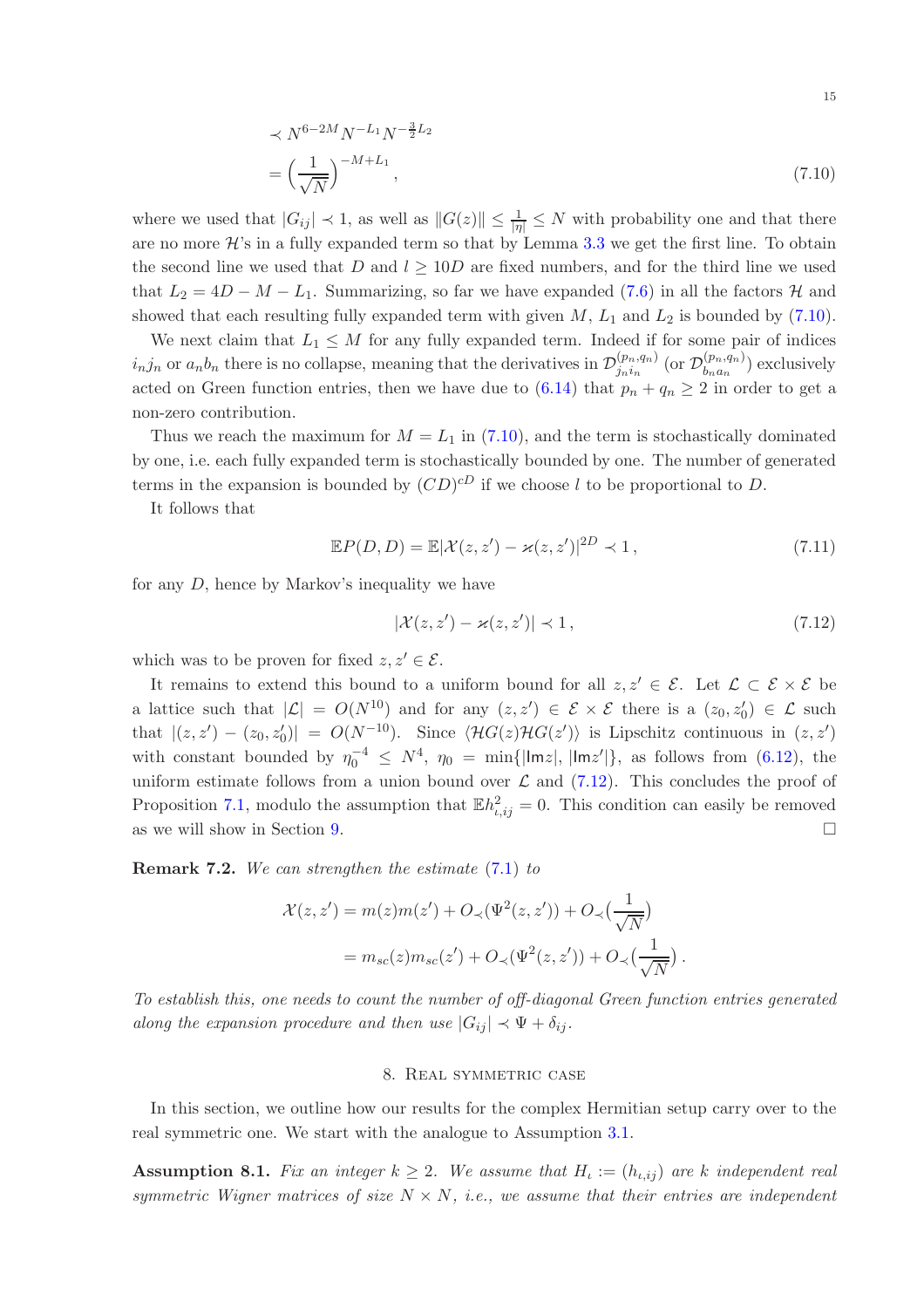<span id="page-14-1"></span>
$$
\prec N^{6-2M} N^{-L_1} N^{-\frac{3}{2}L_2}
$$
  
=  $\left(\frac{1}{\sqrt{N}}\right)^{-M+L_1}$ , (7.10)

where we used that  $|G_{ij}| \prec 1$ , as well as  $||G(z)|| \le \frac{1}{|\eta|} \le N$  with probability one and that there are no more  $\mathcal{H}$ 's in a fully expanded term so that by Lemma [3.3](#page-3-5) we get the first line. To obtain the second line we used that D and  $l > 10D$  are fixed numbers, and for the third line we used that  $L_2 = 4D - M - L_1$ . Summarizing, so far we have expanded [\(7.6\)](#page-11-3) in all the factors  $\mathcal{H}$  and showed that each resulting fully expanded term with given  $M$ ,  $L_1$  and  $L_2$  is bounded by [\(7.10\)](#page-14-1).

We next claim that  $L_1 \leq M$  for any fully expanded term. Indeed if for some pair of indices  $i_n j_n$  or  $a_n b_n$  there is no collapse, meaning that the derivatives in  $\mathcal{D}_{j_n i_n}^{(p_n, q_n)}$  $_{j_n i_n}^{(p_n,q_n)}$  (or  $\mathcal{D}_{b_n a_n}^{(p_n,q_n)}$  $\binom{(p_n,q_n)}{b_n a_n}$  exclusively acted on Green function entries, then we have due to  $(6.14)$  that  $p_n + q_n \geq 2$  in order to get a non-zero contribution.

Thus we reach the maximum for  $M = L_1$  in [\(7.10\)](#page-14-1), and the term is stochastically dominated by one, i.e. each fully expanded term is stochastically bounded by one. The number of generated terms in the expansion is bounded by  $(CD)^{cD}$  if we choose l to be proportional to D.

It follows that

$$
\mathbb{E}P(D,D) = \mathbb{E}|\mathcal{X}(z,z') - \varkappa(z,z')|^{2D} \prec 1,
$$
\n(7.11)

for any D, hence by Markov's inequality we have

<span id="page-14-2"></span>
$$
|\mathcal{X}(z, z') - \varkappa(z, z')| \prec 1, \qquad (7.12)
$$

which was to be proven for fixed  $z, z' \in \mathcal{E}$ .

It remains to extend this bound to a uniform bound for all  $z, z' \in \mathcal{E}$ . Let  $\mathcal{L} \subset \mathcal{E} \times \mathcal{E}$  be a lattice such that  $|\mathcal{L}| = O(N^{10})$  and for any  $(z, z') \in \mathcal{E} \times \mathcal{E}$  there is a  $(z_0, z'_0) \in \mathcal{L}$  such that  $|(z, z') - (z_0, z'_0)| = O(N^{-10})$ . Since  $\langle \mathcal{H}G(z)\mathcal{H}G(z')\rangle$  is Lipschitz continuous in  $(z, z')$ with constant bounded by  $\eta_0^{-4} \leq N^4$ ,  $\eta_0 = \min\{|\text{Im}z|, |\text{Im}z'|\}$ , as follows from [\(6.12\)](#page-8-7), the uniform estimate follows from a union bound over  $\mathcal L$  and [\(7.12\)](#page-14-2). This concludes the proof of Proposition [7.1,](#page-11-5) modulo the assumption that  $\mathbb{E}h_{i,ij}^2 = 0$ . This condition can easily be removed as we will show in Section [9.](#page-16-0)

Remark 7.2. We can strengthen the estimate [\(7.1\)](#page-11-5) to

$$
\mathcal{X}(z, z') = m(z)m(z') + O_{\prec}(\Psi^2(z, z')) + O_{\prec}(\frac{1}{\sqrt{N}})
$$
  
=  $m_{sc}(z)m_{sc}(z') + O_{\prec}(\Psi^2(z, z')) + O_{\prec}(\frac{1}{\sqrt{N}}).$ 

<span id="page-14-0"></span>To establish this, one needs to count the number of off-diagonal Green function entries generated along the expansion procedure and then use  $|G_{ij}| \prec \Psi + \delta_{ij}$ .

### 8. Real symmetric case

In this section, we outline how our results for the complex Hermitian setup carry over to the real symmetric one. We start with the analogue to Assumption [3.1.](#page-3-2)

<span id="page-14-3"></span>**Assumption 8.1.** Fix an integer  $k \geq 2$ . We assume that  $H_{\iota} := (h_{\iota, ij})$  are k independent real symmetric Wigner matrices of size  $N \times N$ , i.e., we assume that their entries are independent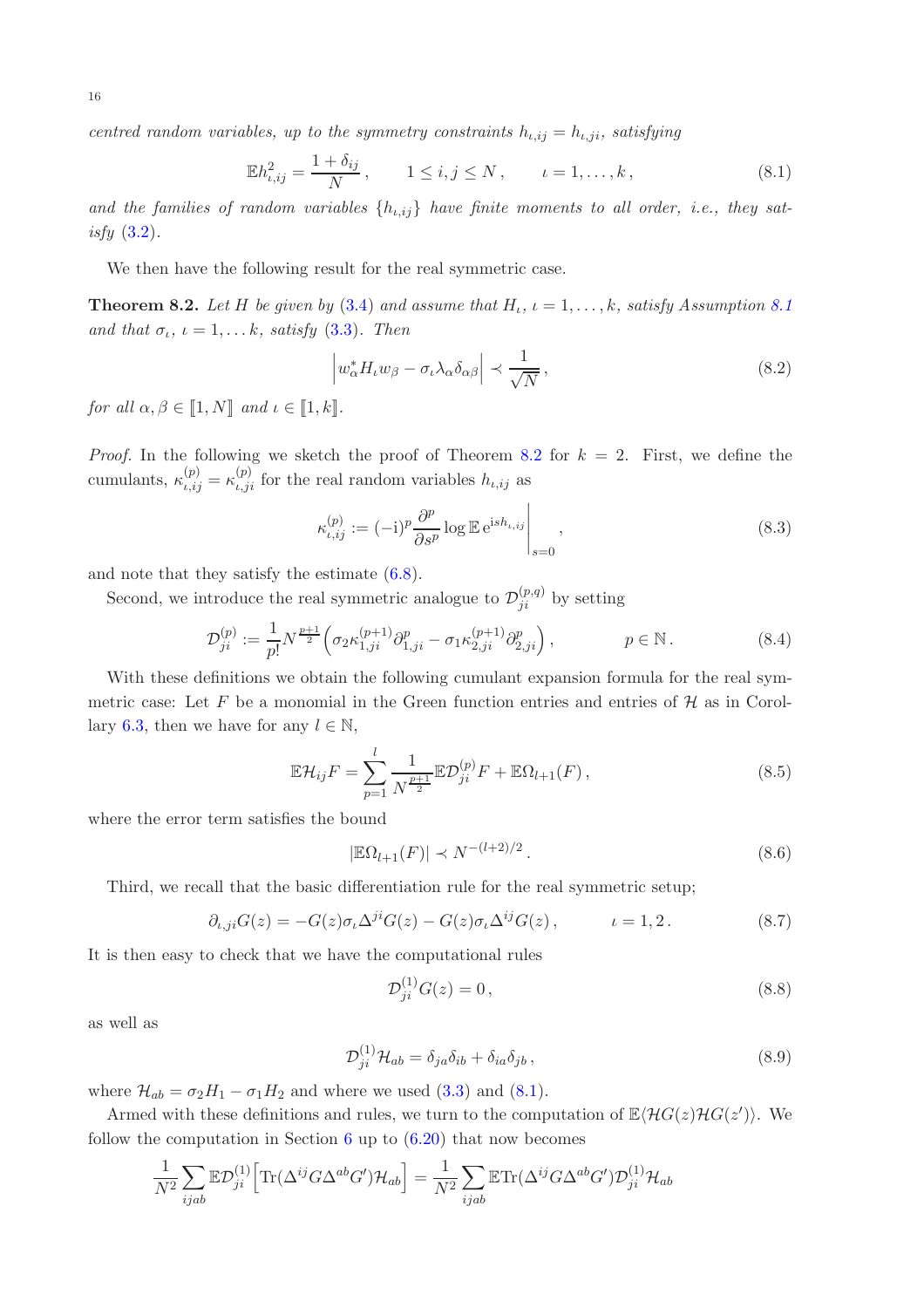centred random variables, up to the symmetry constraints  $h_{\iota,ij} = h_{\iota,ji}$ , satisfying

$$
\mathbb{E}h_{\iota,ij}^2 = \frac{1+\delta_{ij}}{N}, \qquad 1 \le i,j \le N, \qquad \iota = 1,\dots,k,
$$
\n(8.1)

and the families of random variables  $\{h_{i,ij}\}\$  have finite moments to all order, i.e., they satisfy  $(3.2)$ .

We then have the following result for the real symmetric case.

<span id="page-15-0"></span>**Theorem 8.2.** Let H be given by [\(3.4\)](#page-3-1) and assume that  $H_i$ ,  $i = 1, ..., k$ , satisfy Assumption [8.1](#page-14-3) and that  $\sigma_{\iota}$ ,  $\iota = 1, \ldots k$ , satisfy [\(3.3\)](#page-3-3). Then

<span id="page-15-1"></span>
$$
\left| w_{\alpha}^* H_t w_{\beta} - \sigma_t \lambda_{\alpha} \delta_{\alpha \beta} \right| \prec \frac{1}{\sqrt{N}}, \qquad (8.2)
$$

for all  $\alpha, \beta \in \llbracket 1, N \rrbracket$  and  $\iota \in \llbracket 1, k \rrbracket$ .

*Proof.* In the following we sketch the proof of Theorem [8.2](#page-15-0) for  $k = 2$ . First, we define the cumulants,  $\kappa_{\iota,ij}^{(p)} = \kappa_{\iota,ji}^{(p)}$  for the real random variables  $h_{\iota,ij}$  as

$$
\kappa_{\iota,ij}^{(p)} := (-\mathrm{i})^p \frac{\partial^p}{\partial s^p} \log \mathbb{E} \,\mathrm{e}^{\mathrm{i} s h_{\iota,ij}} \Big|_{s=0},\tag{8.3}
$$

and note that they satisfy the estimate [\(6.8\)](#page-8-6).

Second, we introduce the real symmetric analogue to  $\mathcal{D}_{ji}^{(p,q)}$  by setting

$$
\mathcal{D}_{ji}^{(p)} := \frac{1}{p!} N^{\frac{p+1}{2}} \Big( \sigma_2 \kappa_{1,ji}^{(p+1)} \partial_{1,ji}^p - \sigma_1 \kappa_{2,ji}^{(p+1)} \partial_{2,ji}^p \Big), \qquad p \in \mathbb{N} \,.
$$
 (8.4)

With these definitions we obtain the following cumulant expansion formula for the real symmetric case: Let F be a monomial in the Green function entries and entries of  $H$  as in Corol-lary [6.3,](#page-8-3) then we have for any  $l \in \mathbb{N}$ ,

$$
\mathbb{E}\mathcal{H}_{ij}F = \sum_{p=1}^{l} \frac{1}{N^{\frac{p+1}{2}}} \mathbb{E}\mathcal{D}_{ji}^{(p)}F + \mathbb{E}\Omega_{l+1}(F) ,
$$
 (8.5)

where the error term satisfies the bound

$$
|\mathbb{E}\Omega_{l+1}(F)| \prec N^{-(l+2)/2}.
$$
 (8.6)

Third, we recall that the basic differentiation rule for the real symmetric setup;

$$
\partial_{\iota,j} G(z) = -G(z)\sigma_{\iota} \Delta^{ji} G(z) - G(z)\sigma_{\iota} \Delta^{ij} G(z), \qquad \iota = 1,2. \tag{8.7}
$$

It is then easy to check that we have the computational rules

<span id="page-15-2"></span>
$$
\mathcal{D}_{ji}^{(1)}G(z) = 0, \tag{8.8}
$$

as well as

$$
\mathcal{D}_{ji}^{(1)}\mathcal{H}_{ab} = \delta_{ja}\delta_{ib} + \delta_{ia}\delta_{jb} \,,\tag{8.9}
$$

where  $\mathcal{H}_{ab} = \sigma_2 H_1 - \sigma_1 H_2$  and where we used [\(3.3\)](#page-3-3) and [\(8.1\)](#page-15-1).

Armed with these definitions and rules, we turn to the computation of  $\mathbb{E}\langle H G(z) H G(z')\rangle$ . We follow the computation in Section [6](#page-7-2) up to  $(6.20)$  that now becomes

$$
\frac{1}{N^2} \sum_{ijab} \mathbb{E} \mathcal{D}_{ji}^{(1)} \Big[ \text{Tr}(\Delta^{ij} G \Delta^{ab} G') \mathcal{H}_{ab} \Big] = \frac{1}{N^2} \sum_{ijab} \mathbb{E} \text{Tr}(\Delta^{ij} G \Delta^{ab} G') \mathcal{D}_{ji}^{(1)} \mathcal{H}_{ab}
$$

16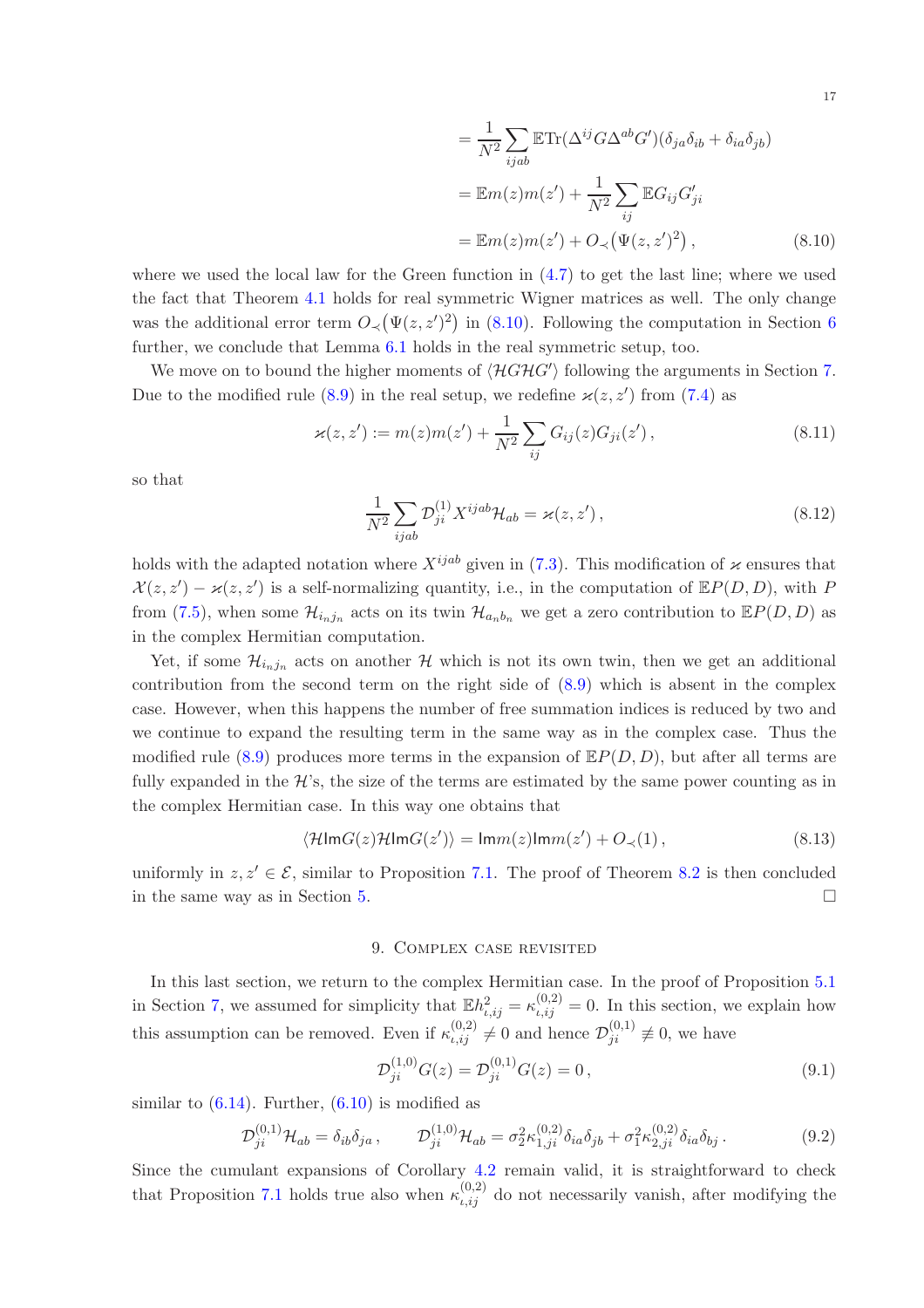<span id="page-16-1"></span>
$$
= \frac{1}{N^2} \sum_{ijab} \mathbb{E} \text{Tr}(\Delta^{ij} G \Delta^{ab} G') (\delta_{ja} \delta_{ib} + \delta_{ia} \delta_{jb})
$$

$$
= \mathbb{E} m(z) m(z') + \frac{1}{N^2} \sum_{ij} \mathbb{E} G_{ij} G'_{ji}
$$

$$
= \mathbb{E} m(z) m(z') + O_{\prec} (\Psi(z, z')^2), \qquad (8.10)
$$

where we used the local law for the Green function in  $(4.7)$  to get the last line; where we used the fact that Theorem [4.1](#page-5-0) holds for real symmetric Wigner matrices as well. The only change was the additional error term  $O_{\prec}(\Psi(z, z')^2)$  in [\(8.10\)](#page-16-1). Following the computation in Section [6](#page-7-2) further, we conclude that Lemma  $6.1$  holds in the real symmetric setup, too.

We move on to bound the higher moments of  $\langle \mathcal{H}GHG' \rangle$  following the arguments in Section [7.](#page-11-0) Due to the modified rule [\(8.9\)](#page-15-2) in the real setup, we redefine  $\varkappa(z, z')$  from [\(7.4\)](#page-11-4) as

$$
\varkappa(z, z') := m(z)m(z') + \frac{1}{N^2} \sum_{ij} G_{ij}(z) G_{ji}(z'), \qquad (8.11)
$$

so that

$$
\frac{1}{N^2} \sum_{ijab} \mathcal{D}_{ji}^{(1)} X^{ijab} \mathcal{H}_{ab} = \varkappa(z, z'),\tag{8.12}
$$

holds with the adapted notation where  $X^{ijab}$  given in [\(7.3\)](#page-11-6). This modification of  $\varkappa$  ensures that  $\mathcal{X}(z, z') - \varkappa(z, z')$  is a self-normalizing quantity, i.e., in the computation of  $\mathbb{E}P(D, D)$ , with P from [\(7.5\)](#page-11-7), when some  $\mathcal{H}_{i_nj_n}$  acts on its twin  $\mathcal{H}_{a_nb_n}$  we get a zero contribution to  $\mathbb{E}P(D,D)$  as in the complex Hermitian computation.

Yet, if some  $\mathcal{H}_{i_nj_n}$  acts on another  $\mathcal H$  which is not its own twin, then we get an additional contribution from the second term on the right side of [\(8.9\)](#page-15-2) which is absent in the complex case. However, when this happens the number of free summation indices is reduced by two and we continue to expand the resulting term in the same way as in the complex case. Thus the modified rule [\(8.9\)](#page-15-2) produces more terms in the expansion of  $\mathbb{E}P(D, D)$ , but after all terms are fully expanded in the  $\mathcal{H}$ 's, the size of the terms are estimated by the same power counting as in the complex Hermitian case. In this way one obtains that

$$
\langle \mathcal{H} \text{Im} G(z) \mathcal{H} \text{Im} G(z') \rangle = \text{Im} m(z) \text{Im} m(z') + O_{\prec}(1) \,, \tag{8.13}
$$

<span id="page-16-0"></span>uniformly in  $z, z' \in \mathcal{E}$ , similar to Proposition [7.1.](#page-11-8) The proof of Theorem [8.2](#page-15-0) is then concluded in the same way as in Section [5.](#page-6-0)

# 9. Complex case revisited

In this last section, we return to the complex Hermitian case. In the proof of Proposition [5.1](#page-6-3) in Section [7,](#page-11-0) we assumed for simplicity that  $\mathbb{E}h_{\iota,ij}^2 = \kappa_{\iota,ij}^{(0,2)} = 0$ . In this section, we explain how this assumption can be removed. Even if  $\kappa_{i,ij}^{(0,2)} \neq 0$  and hence  $\mathcal{D}_{ji}^{(0,1)} \neq 0$ , we have

$$
\mathcal{D}_{ji}^{(1,0)}G(z) = \mathcal{D}_{ji}^{(0,1)}G(z) = 0, \qquad (9.1)
$$

similar to  $(6.14)$ . Further,  $(6.10)$  is modified as

$$
\mathcal{D}_{ji}^{(0,1)}\mathcal{H}_{ab} = \delta_{ib}\delta_{ja} , \qquad \mathcal{D}_{ji}^{(1,0)}\mathcal{H}_{ab} = \sigma_2^2 \kappa_{1,ji}^{(0,2)}\delta_{ia}\delta_{jb} + \sigma_1^2 \kappa_{2,ji}^{(0,2)}\delta_{ia}\delta_{bj} . \tag{9.2}
$$

Since the cumulant expansions of Corollary [4.2](#page-5-1) remain valid, it is straightforward to check that Proposition [7.1](#page-11-8) holds true also when  $\kappa_{i,ij}^{(0,2)}$  do not necessarily vanish, after modifying the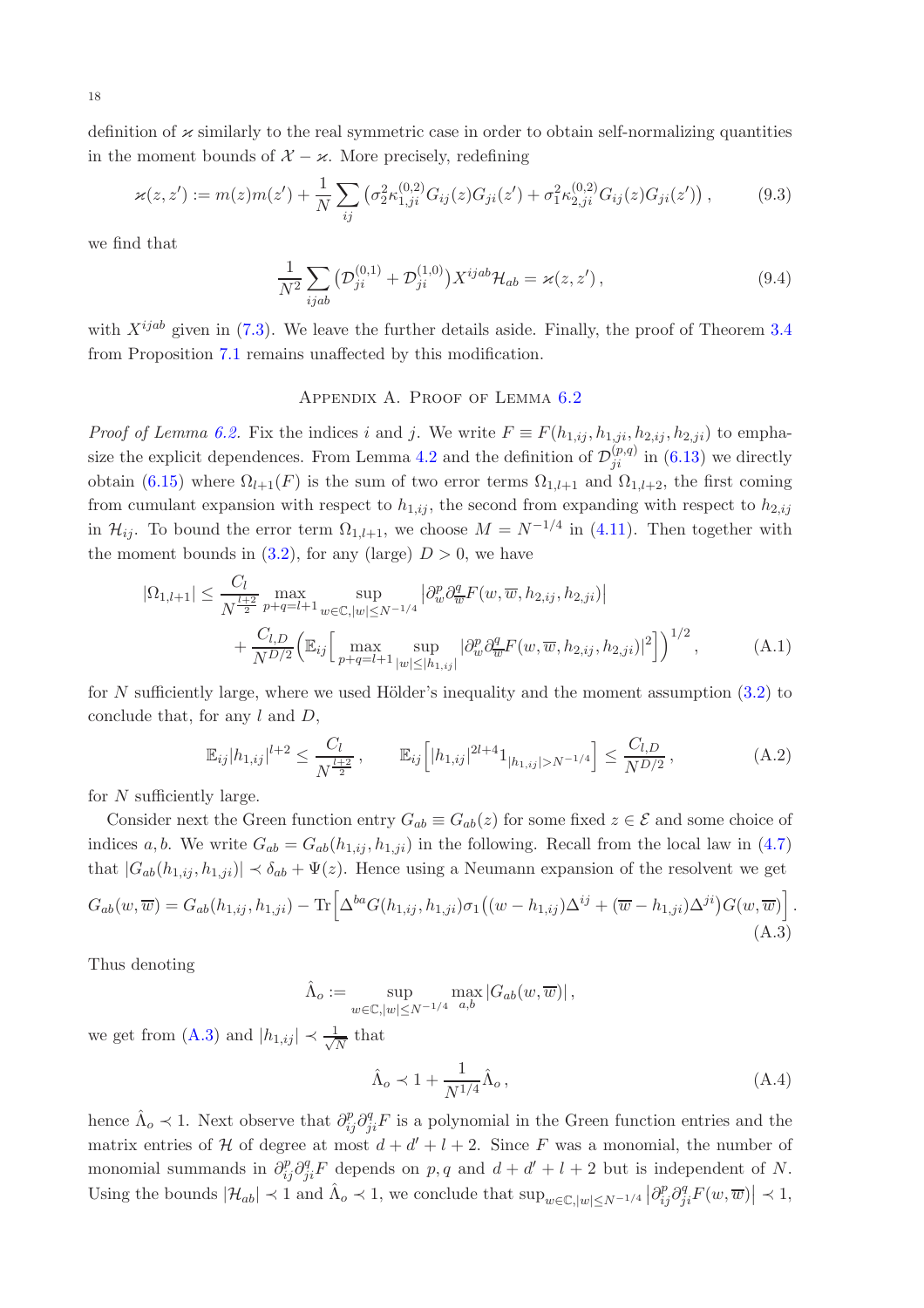definition of  $\varkappa$  similarly to the real symmetric case in order to obtain self-normalizing quantities in the moment bounds of  $X - \varkappa$ . More precisely, redefining

$$
\varkappa(z, z') := m(z)m(z') + \frac{1}{N} \sum_{ij} \left( \sigma_2^2 \kappa_{1,ji}^{(0,2)} G_{ij}(z) G_{ji}(z') + \sigma_1^2 \kappa_{2,ji}^{(0,2)} G_{ij}(z) G_{ji}(z') \right), \tag{9.3}
$$

we find that

$$
\frac{1}{N^2} \sum_{ijab} \left( \mathcal{D}_{ji}^{(0,1)} + \mathcal{D}_{ji}^{(1,0)} \right) X^{ijab} \mathcal{H}_{ab} = \varkappa(z, z'), \tag{9.4}
$$

<span id="page-17-0"></span>with  $X^{ijab}$  given in [\(7.3\)](#page-11-6). We leave the further details aside. Finally, the proof of Theorem [3.4](#page-4-2) from Proposition [7.1](#page-11-8) remains unaffected by this modification.

# <span id="page-17-2"></span>Appendix A. Proof of Lemma [6.2](#page-8-2)

*Proof of Lemma [6.2.](#page-8-2)* Fix the indices i and j. We write  $F \equiv F(h_{1,ij}, h_{1,ji}, h_{2,ij}, h_{2,ji})$  to empha-size the explicit dependences. From Lemma [4.2](#page-5-1) and the definition of  $\mathcal{D}_{ji}^{(p,q)}$  in [\(6.13\)](#page-8-1) we directly obtain [\(6.15\)](#page-8-8) where  $\Omega_{l+1}(F)$  is the sum of two error terms  $\Omega_{1,l+1}$  and  $\Omega_{1,l+2}$ , the first coming from cumulant expansion with respect to  $h_{1,ij}$ , the second from expanding with respect to  $h_{2,ij}$ in  $\mathcal{H}_{ij}$ . To bound the error term  $\Omega_{1,l+1}$ , we choose  $M = N^{-1/4}$  in [\(4.11\)](#page-5-6). Then together with the moment bounds in  $(3.2)$ , for any (large)  $D > 0$ , we have

$$
|\Omega_{1,l+1}| \leq \frac{C_l}{N^{\frac{l+2}{2}}} \max_{p+q=l+1} \sup_{w \in \mathbb{C}, |w| \leq N^{-1/4}} \left| \partial_w^p \partial_{\overline{w}}^q F(w, \overline{w}, h_{2,ij}, h_{2,ji}) \right|
$$
  
+ 
$$
\frac{C_{l,D}}{N^{D/2}} \Big( \mathbb{E}_{ij} \Big[ \max_{p+q=l+1} \sup_{|w| \leq |h_{1,ij}|} \left| \partial_w^p \partial_{\overline{w}}^q F(w, \overline{w}, h_{2,ij}, h_{2,ji}) \right|^2 \Big] \Big)^{1/2}, \tag{A.1}
$$

for N sufficiently large, where we used Hölder's inequality and the moment assumption  $(3.2)$  to conclude that, for any  $l$  and  $D$ ,

$$
\mathbb{E}_{ij}|h_{1,ij}|^{l+2} \le \frac{C_l}{N^{\frac{l+2}{2}}}, \qquad \mathbb{E}_{ij}\Big[|h_{1,ij}|^{2l+4}1_{|h_{1,ij}|>N^{-1/4}}\Big] \le \frac{C_{l,D}}{N^{D/2}},\tag{A.2}
$$

for N sufficiently large.

Consider next the Green function entry  $G_{ab} \equiv G_{ab}(z)$  for some fixed  $z \in \mathcal{E}$  and some choice of indices a, b. We write  $G_{ab} = G_{ab}(h_{1,ij}, h_{1,ji})$  in the following. Recall from the local law in [\(4.7\)](#page-5-5) that  $|G_{ab}(h_{1,ij}, h_{1,ji})| \prec \delta_{ab} + \Psi(z)$ . Hence using a Neumann expansion of the resolvent we get

$$
G_{ab}(w,\overline{w}) = G_{ab}(h_{1,ij},h_{1,ji}) - \text{Tr}\left[\Delta^{ba}G(h_{1,ij},h_{1,ji})\sigma_1\left((w - h_{1,ij})\Delta^{ij} + (\overline{w} - h_{1,ji})\Delta^{ji}\right)G(w,\overline{w})\right].
$$
\n(A.3)

Thus denoting

 $\hat{\Lambda}_o := \sup$  $w \in \mathbb{C}, |w| \le N^{-1/4}$  $\max_{a,b} |G_{ab}(w,\overline{w})|,$ 

we get from [\(A.3\)](#page-17-1) and  $|h_{1,ij}| \prec \frac{1}{\sqrt{l}}$  $\frac{1}{N}$  that

<span id="page-17-1"></span>
$$
\hat{\Lambda}_o \prec 1 + \frac{1}{N^{1/4}} \hat{\Lambda}_o \,, \tag{A.4}
$$

hence  $\hat{\Lambda}_o \prec 1$ . Next observe that  $\partial_{ij}^p \partial_{ji}^q F$  is a polynomial in the Green function entries and the matrix entries of H of degree at most  $d + d' + l + 2$ . Since F was a monomial, the number of monomial summands in  $\partial_{ij}^p \partial_{ji}^q F$  depends on p, q and  $d + d' + l + 2$  but is independent of N. Using the bounds  $|\mathcal{H}_{ab}| \prec 1$  and  $\hat{\Lambda}_{o} \prec 1$ , we conclude that  $\sup_{w \in \mathbb{C}, |w| \le N^{-1/4}} |\partial_{ij}^p \partial_{ji}^q F(w, \overline{w})| \prec 1$ ,